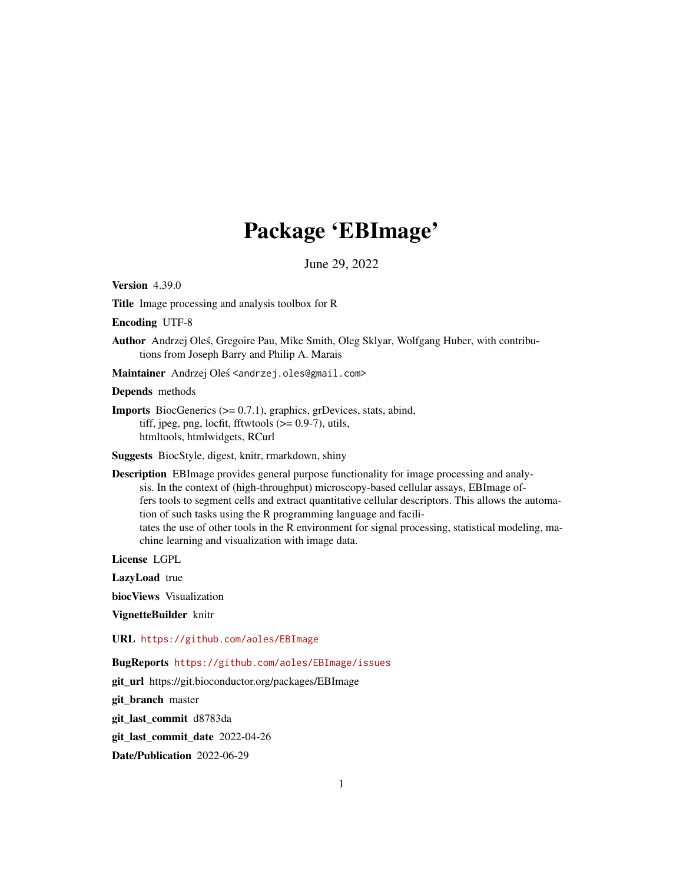# Package 'EBImage'

June 29, 2022

<span id="page-0-0"></span>**Version 4.39.0** 

Title Image processing and analysis toolbox for R

Encoding UTF-8

Author Andrzej Oles, Gregoire Pau, Mike Smith, Oleg Sklyar, Wolfgang Huber, with contribu- ´ tions from Joseph Barry and Philip A. Marais

Maintainer Andrzej Oleś <andrzej.oles@gmail.com>

Depends methods

Imports BiocGenerics (>= 0.7.1), graphics, grDevices, stats, abind, tiff, jpeg, png, locfit, fftwtools  $(>= 0.9-7)$ , utils, htmltools, htmlwidgets, RCurl

Suggests BiocStyle, digest, knitr, rmarkdown, shiny

Description EBImage provides general purpose functionality for image processing and analysis. In the context of (high-throughput) microscopy-based cellular assays, EBImage offers tools to segment cells and extract quantitative cellular descriptors. This allows the automation of such tasks using the R programming language and facilitates the use of other tools in the R environment for signal processing, statistical modeling, machine learning and visualization with image data.

License LGPL

LazyLoad true

biocViews Visualization

VignetteBuilder knitr

# URL <https://github.com/aoles/EBImage>

BugReports <https://github.com/aoles/EBImage/issues>

git\_url https://git.bioconductor.org/packages/EBImage

git\_branch master

git\_last\_commit d8783da

git\_last\_commit\_date 2022-04-26

Date/Publication 2022-06-29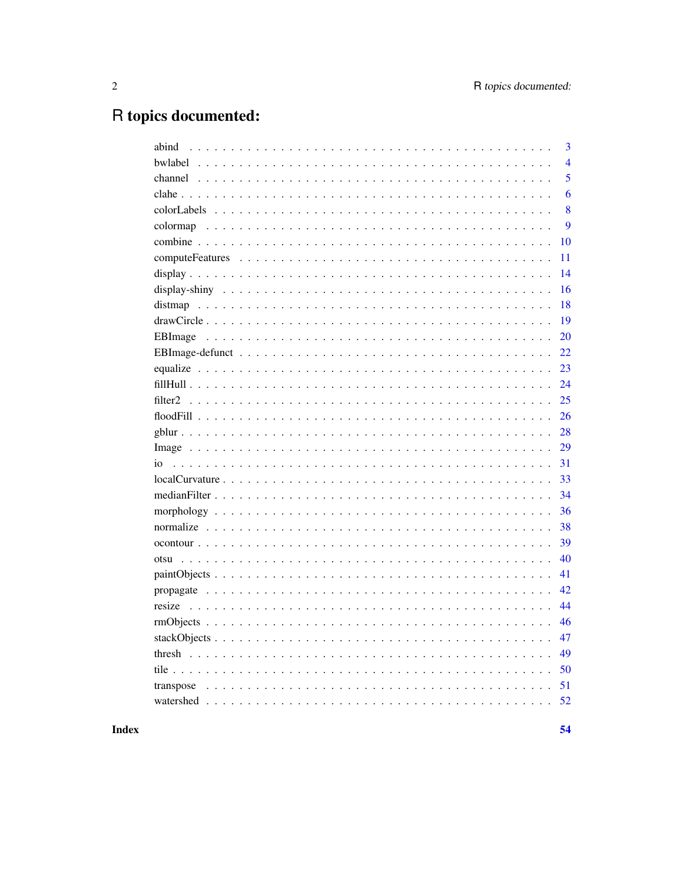# R topics documented:

| abind | 3              |
|-------|----------------|
|       | $\overline{4}$ |
|       | 5              |
|       | 6              |
|       | 8              |
|       | 9              |
|       | 10             |
|       | 11             |
|       | 14             |
|       | 16             |
|       | 18             |
|       | 19             |
|       | 20             |
|       | 22             |
|       | 23             |
|       | 24             |
|       | 25             |
|       | 26             |
|       | 28             |
|       | 29             |
|       | 31             |
|       | 33             |
|       | 34             |
|       | 36             |
|       | 38             |
|       | 39             |
| otsu  | 40             |
|       | 41             |
|       | 42             |
|       | 44             |
|       | 46             |
|       | 47             |
|       | 49             |
|       | 50             |
|       | 51             |
|       | 52             |
|       |                |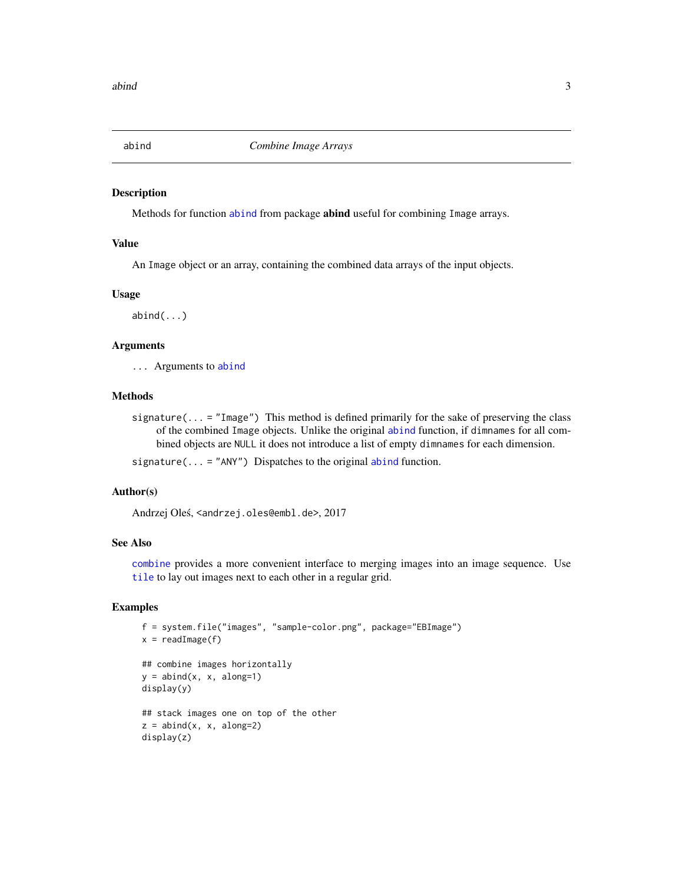<span id="page-2-1"></span><span id="page-2-0"></span>

Methods for function [abind](#page-2-1) from package abind useful for combining Image arrays.

# Value

An Image object or an array, containing the combined data arrays of the input objects.

## Usage

 $abind(...)$ 

# Arguments

... Arguments to [abind](#page-2-1)

#### Methods

signature( $\dots$  = "Image") This method is defined primarily for the sake of preserving the class of the combined Image objects. Unlike the original [abind](#page-2-1) function, if dimnames for all combined objects are NULL it does not introduce a list of empty dimnames for each dimension.

signature( $\ldots$  = "ANY") Dispatches to the original [abind](#page-2-1) function.

#### Author(s)

Andrzej Oleś, <andrzej.oles@embl.de>, 2017

# See Also

[combine](#page-9-1) provides a more convenient interface to merging images into an image sequence. Use [tile](#page-49-1) to lay out images next to each other in a regular grid.

```
f = system.file("images", "sample-color.png", package="EBImage")
x = readImage(f)## combine images horizontally
y = abind(x, x, along=1)display(y)
## stack images one on top of the other
z = \text{abind}(x, x, \text{ along=2})display(z)
```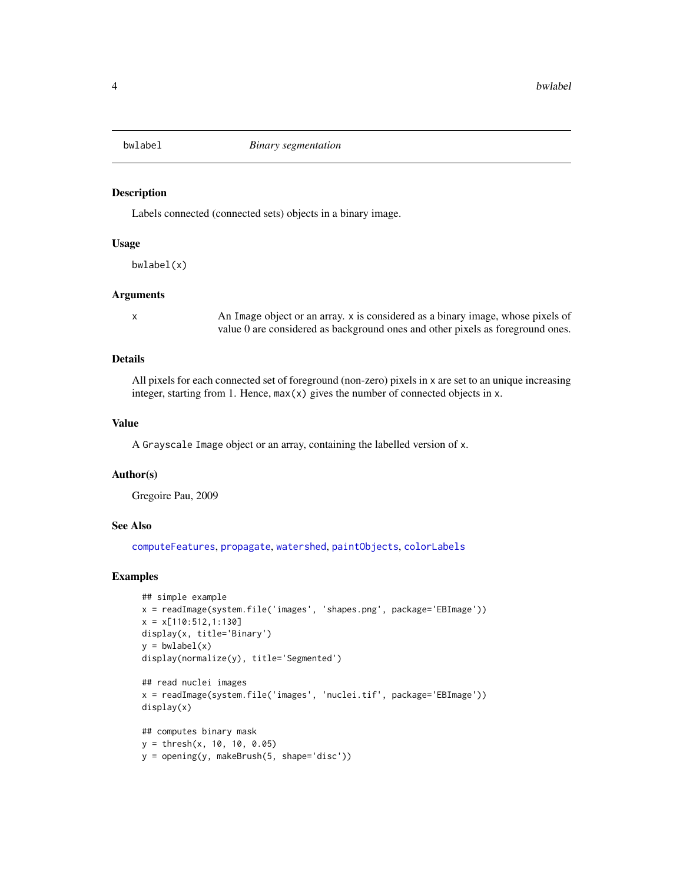<span id="page-3-1"></span><span id="page-3-0"></span>

Labels connected (connected sets) objects in a binary image.

#### Usage

bwlabel(x)

#### Arguments

x An Image object or an array. x is considered as a binary image, whose pixels of value 0 are considered as background ones and other pixels as foreground ones.

# Details

All pixels for each connected set of foreground (non-zero) pixels in x are set to an unique increasing integer, starting from 1. Hence,  $max(x)$  gives the number of connected objects in x.

# Value

A Grayscale Image object or an array, containing the labelled version of x.

#### Author(s)

Gregoire Pau, 2009

# See Also

[computeFeatures](#page-10-1), [propagate](#page-41-1), [watershed](#page-51-1), [paintObjects](#page-40-1), [colorLabels](#page-7-1)

```
## simple example
x = readImage(system.file('images', 'shapes.png', package='EBImage'))
x = x[110:512, 1:130]display(x, title='Binary')
y = bwlabel(x)display(normalize(y), title='Segmented')
## read nuclei images
x = readImage(system.file('images', 'nuclei.tif', package='EBImage'))
display(x)
```

```
## computes binary mask
y = thresh(x, 10, 10, 0.05)
y = opening(y, makeBrush(5, shape='disc'))
```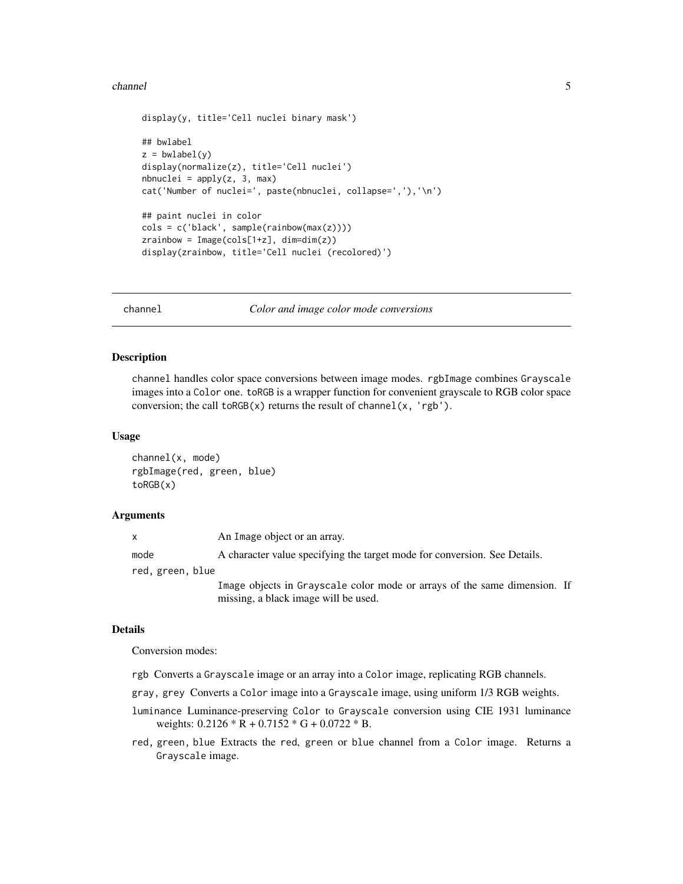#### <span id="page-4-0"></span>channel 5

```
display(y, title='Cell nuclei binary mask')
## bwlabel
z = bwlabel(y)
display(normalize(z), title='Cell nuclei')
nbnuclei = apply(z, 3, max)
cat('Number of nuclei=', paste(nbnuclei, collapse=','),'\n')
## paint nuclei in color
cols = c('black', sample(rainbow(max(z))))
zrainbow = Image(cols[1+z], dim=dim(z))
display(zrainbow, title='Cell nuclei (recolored)')
```
channel *Color and image color mode conversions*

#### Description

channel handles color space conversions between image modes. rgbImage combines Grayscale images into a Color one. toRGB is a wrapper function for convenient grayscale to RGB color space conversion; the call  $toRGB(x)$  returns the result of channel(x, 'rgb').

#### Usage

channel(x, mode) rgbImage(red, green, blue) toRGB(x)

#### Arguments

| x                | An Image object or an array.                                                                                      |  |
|------------------|-------------------------------------------------------------------------------------------------------------------|--|
| mode             | A character value specifying the target mode for conversion. See Details.                                         |  |
| red, green, blue |                                                                                                                   |  |
|                  | Image objects in Grayscale color mode or arrays of the same dimension. If<br>missing, a black image will be used. |  |

#### Details

Conversion modes:

- rgb Converts a Grayscale image or an array into a Color image, replicating RGB channels.
- gray, grey Converts a Color image into a Grayscale image, using uniform 1/3 RGB weights.
- luminance Luminance-preserving Color to Grayscale conversion using CIE 1931 luminance weights:  $0.2126 \times R + 0.7152 \times G + 0.0722 \times B$ .
- red, green, blue Extracts the red, green or blue channel from a Color image. Returns a Grayscale image.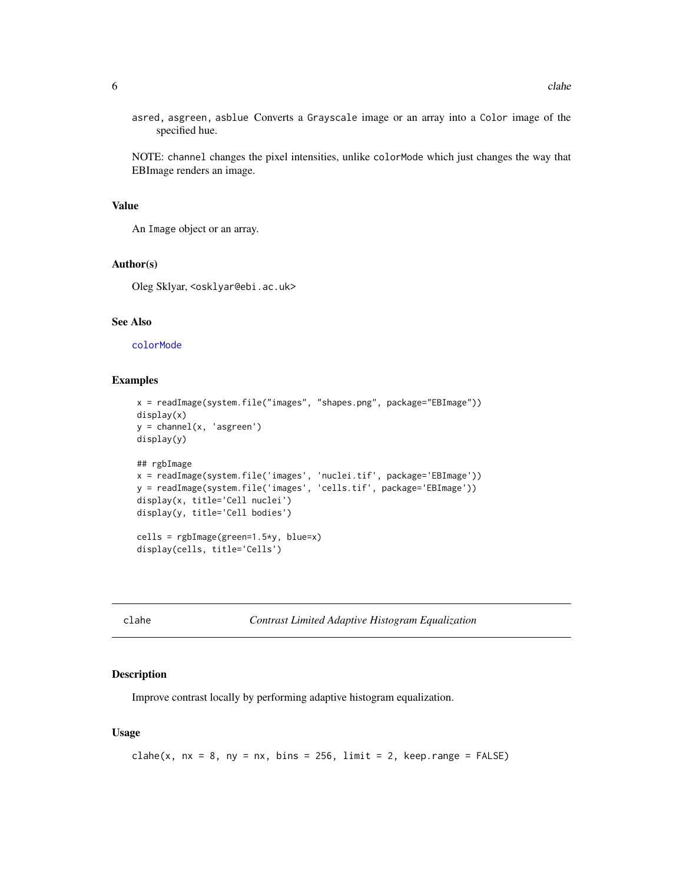<span id="page-5-0"></span>asred, asgreen, asblue Converts a Grayscale image or an array into a Color image of the specified hue.

NOTE: channel changes the pixel intensities, unlike colorMode which just changes the way that EBImage renders an image.

#### Value

An Image object or an array.

#### Author(s)

Oleg Sklyar, <osklyar@ebi.ac.uk>

# See Also

[colorMode](#page-28-1)

# Examples

```
x = readImage(system.file("images", "shapes.png", package="EBImage"))
display(x)
y = channel(x, 'asgreen')display(y)
## rgbImage
x = readImage(system.file('images', 'nuclei.tif', package='EBImage'))
y = readImage(system.file('images', 'cells.tif', package='EBImage'))
display(x, title='Cell nuclei')
display(y, title='Cell bodies')
cells = rgbImage(green=1.5*y, blue=x)
display(cells, title='Cells')
```
<span id="page-5-1"></span>clahe *Contrast Limited Adaptive Histogram Equalization*

## Description

Improve contrast locally by performing adaptive histogram equalization.

#### Usage

clahe(x,  $nx = 8$ ,  $ny = nx$ ,  $bins = 256$ ,  $limit = 2$ ,  $keep-range = FALSE$ )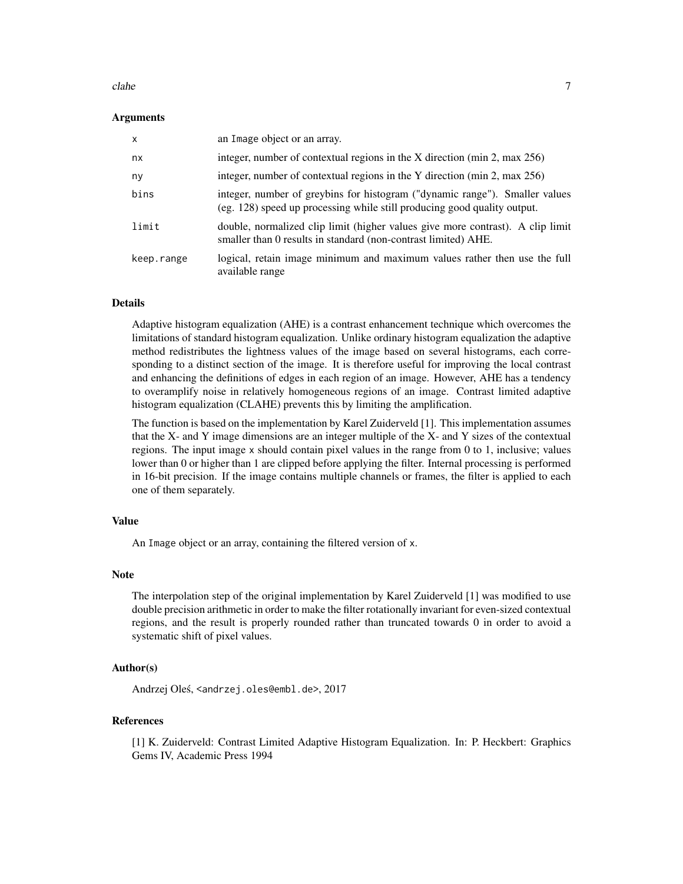#### clahe 7

#### Arguments

| $\mathsf{x}$ | an Image object or an array.                                                                                                                            |
|--------------|---------------------------------------------------------------------------------------------------------------------------------------------------------|
| nx           | integer, number of contextual regions in the X direction (min 2, max $256$ )                                                                            |
| ny           | integer, number of contextual regions in the Y direction (min 2, max 256)                                                                               |
| bins         | integer, number of greybins for histogram ("dynamic range"). Smaller values<br>(eg. 128) speed up processing while still producing good quality output. |
| limit        | double, normalized clip limit (higher values give more contrast). A clip limit<br>smaller than 0 results in standard (non-contrast limited) AHE.        |
| keep.range   | logical, retain image minimum and maximum values rather then use the full<br>available range                                                            |

# Details

Adaptive histogram equalization (AHE) is a contrast enhancement technique which overcomes the limitations of standard histogram equalization. Unlike ordinary histogram equalization the adaptive method redistributes the lightness values of the image based on several histograms, each corresponding to a distinct section of the image. It is therefore useful for improving the local contrast and enhancing the definitions of edges in each region of an image. However, AHE has a tendency to overamplify noise in relatively homogeneous regions of an image. Contrast limited adaptive histogram equalization (CLAHE) prevents this by limiting the amplification.

The function is based on the implementation by Karel Zuiderveld [1]. This implementation assumes that the X- and Y image dimensions are an integer multiple of the X- and Y sizes of the contextual regions. The input image x should contain pixel values in the range from 0 to 1, inclusive; values lower than 0 or higher than 1 are clipped before applying the filter. Internal processing is performed in 16-bit precision. If the image contains multiple channels or frames, the filter is applied to each one of them separately.

#### Value

An Image object or an array, containing the filtered version of x.

#### Note

The interpolation step of the original implementation by Karel Zuiderveld [1] was modified to use double precision arithmetic in order to make the filter rotationally invariant for even-sized contextual regions, and the result is properly rounded rather than truncated towards 0 in order to avoid a systematic shift of pixel values.

# Author(s)

Andrzej Oleś, <andrzej.oles@embl.de>, 2017

#### References

[1] K. Zuiderveld: Contrast Limited Adaptive Histogram Equalization. In: P. Heckbert: Graphics Gems IV, Academic Press 1994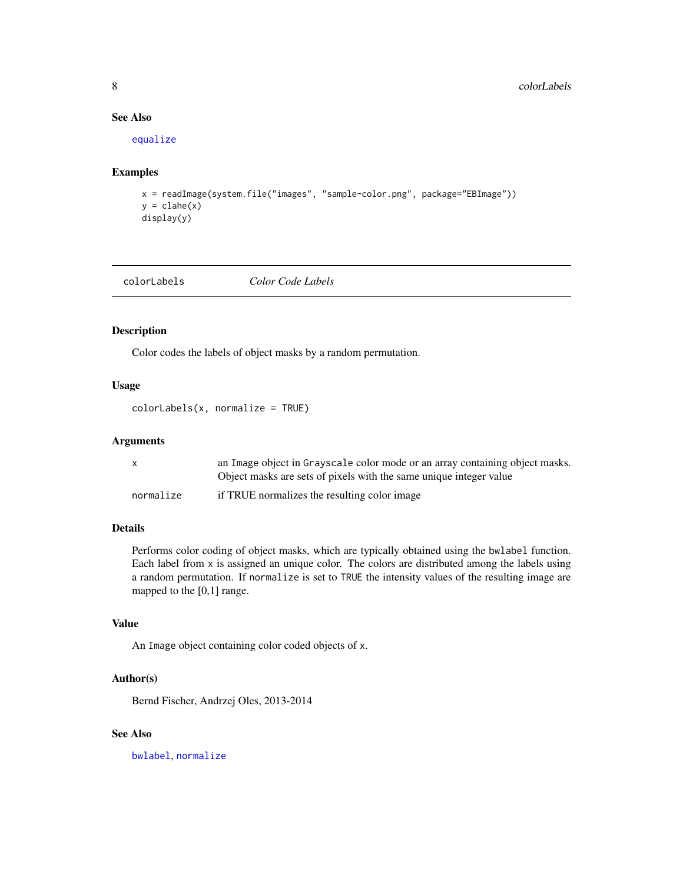# See Also

[equalize](#page-22-1)

# Examples

```
x = readImage(system.file("images", "sample-color.png", package="EBImage"))
y = clabe(x)display(y)
```
<span id="page-7-1"></span>colorLabels *Color Code Labels*

# Description

Color codes the labels of object masks by a random permutation.

# Usage

colorLabels(x, normalize = TRUE)

# Arguments

|           | an Image object in Grayscale color mode or an array containing object masks. |
|-----------|------------------------------------------------------------------------------|
|           | Object masks are sets of pixels with the same unique integer value           |
| normalize | if TRUE normalizes the resulting color image                                 |

# Details

Performs color coding of object masks, which are typically obtained using the bwlabel function. Each label from x is assigned an unique color. The colors are distributed among the labels using a random permutation. If normalize is set to TRUE the intensity values of the resulting image are mapped to the [0,1] range.

# Value

An Image object containing color coded objects of x.

# Author(s)

Bernd Fischer, Andrzej Oles, 2013-2014

# See Also

[bwlabel](#page-3-1), [normalize](#page-37-1)

<span id="page-7-0"></span>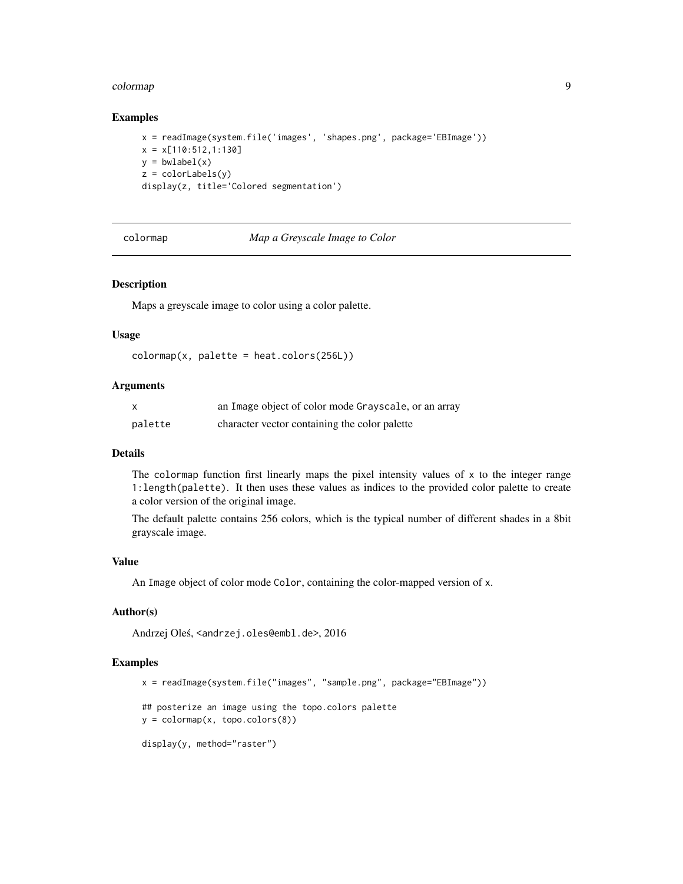#### <span id="page-8-0"></span>colormap **9**

#### Examples

```
x = readImage(system.file('images', 'shapes.png', package='EBImage'))
x = x[110:512, 1:130]y = bwlabel(x)z = colorLabels(y)display(z, title='Colored segmentation')
```
colormap *Map a Greyscale Image to Color*

#### Description

Maps a greyscale image to color using a color palette.

#### Usage

```
colors(256L)
```
# Arguments

| $\mathsf{x}$ | an Image object of color mode Grayscale, or an array |
|--------------|------------------------------------------------------|
| palette      | character vector containing the color palette        |

## Details

The colormap function first linearly maps the pixel intensity values of x to the integer range 1:length(palette). It then uses these values as indices to the provided color palette to create a color version of the original image.

The default palette contains 256 colors, which is the typical number of different shades in a 8bit grayscale image.

#### Value

An Image object of color mode Color, containing the color-mapped version of x.

#### Author(s)

Andrzej Oleś, <andrzej.oles@embl.de>, 2016

```
x = readImage(system.file("images", "sample.png", package="EBImage"))
## posterize an image using the topo.colors palette
y = \text{colormap}(x, \text{topo}.\text{colors}(8))display(y, method="raster")
```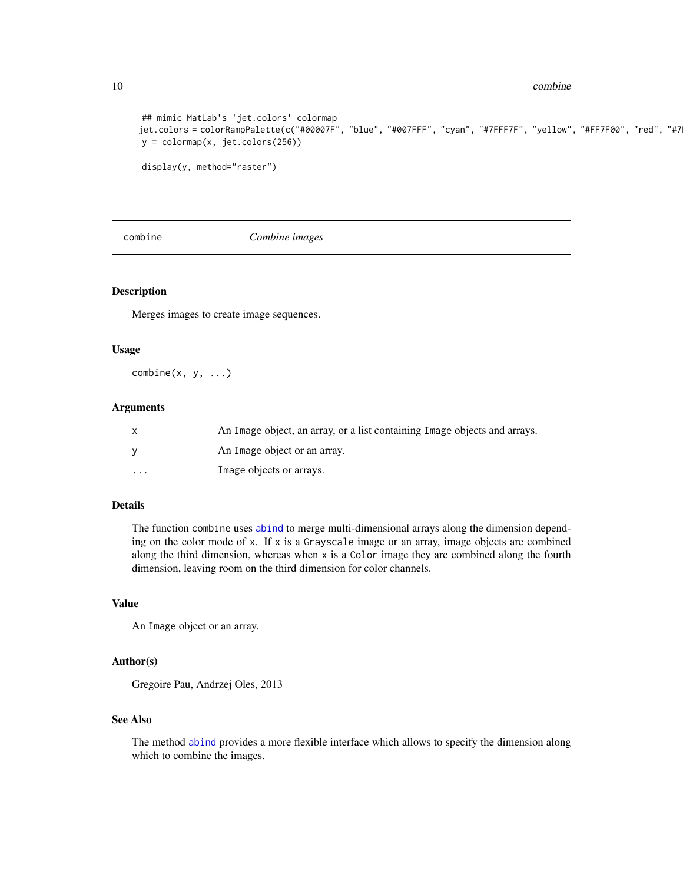10 combine

```
## mimic MatLab's 'jet.colors' colormap
jet.colors = colorRampPalette(c("#00007F", "blue", "#007FFF", "cyan", "#7FFF7F", "yellow", "#FF7F00", "red", "#7
y = colormap(x, jet.colors(256))
display(y, method="raster")
```
<span id="page-9-1"></span>

combine *Combine images*

#### Description

Merges images to create image sequences.

#### Usage

 $combine(x, y, ...)$ 

# Arguments

|         | An Image object, an array, or a list containing Image objects and arrays. |
|---------|---------------------------------------------------------------------------|
| - V     | An Image object or an array.                                              |
| $\cdot$ | Image objects or arrays.                                                  |

# Details

The function combine uses [abind](#page-2-1) to merge multi-dimensional arrays along the dimension depending on the color mode of x. If x is a Grayscale image or an array, image objects are combined along the third dimension, whereas when x is a Color image they are combined along the fourth dimension, leaving room on the third dimension for color channels.

#### Value

An Image object or an array.

# Author(s)

Gregoire Pau, Andrzej Oles, 2013

# See Also

The method [abind](#page-2-1) provides a more flexible interface which allows to specify the dimension along which to combine the images.

<span id="page-9-0"></span>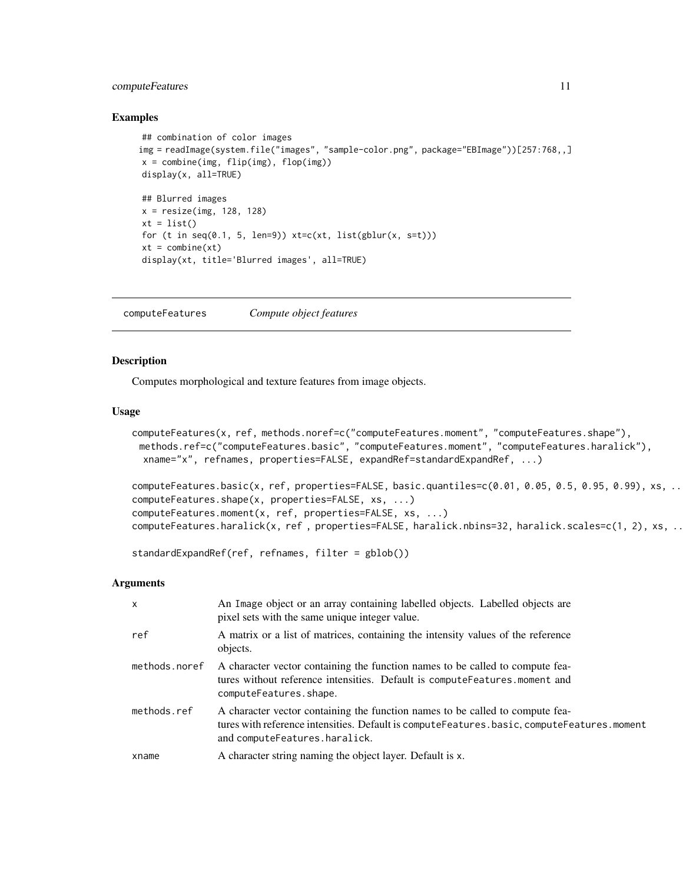# <span id="page-10-0"></span>computeFeatures 11

#### Examples

```
## combination of color images
img = readImage(system.file("images", "sample-color.png", package="EBImage"))[257:768,,]
x = combine(img, flip(img), flop(img))
display(x, all=TRUE)
## Blurred images
x = resize(img, 128, 128)
xt = list()for (t in seq(0.1, 5, len=9)) xt=c(xt, list(gblur(x, s=t)))xt = combine(xt)display(xt, title='Blurred images', all=TRUE)
```
<span id="page-10-1"></span>computeFeatures *Compute object features*

# <span id="page-10-2"></span>Description

Computes morphological and texture features from image objects.

# Usage

```
computeFeatures(x, ref, methods.noref=c("computeFeatures.moment", "computeFeatures.shape"),
 methods.ref=c("computeFeatures.basic", "computeFeatures.moment", "computeFeatures.haralick"),
 xname="x", refnames, properties=FALSE, expandRef=standardExpandRef, ...)
```

```
computeFeatures.basic(x, ref, properties=FALSE, basic.quantiles=c(0.01, 0.05, 0.5, 0.95, 0.99), xs, ..
computeFeatures.shape(x, properties=FALSE, xs, ...)
computeFeatures.moment(x, ref, properties=FALSE, xs, ...)
computeFeatures.haralick(x, ref , properties=FALSE, haralick.nbins=32, haralick.scales=c(1, 2), xs, ..
```

```
standardExpandRef(ref, refnames, filter = gblob())
```
#### Arguments

| $\boldsymbol{\mathsf{x}}$ | An Image object or an array containing labelled objects. Labelled objects are<br>pixel sets with the same unique integer value.                                                                              |
|---------------------------|--------------------------------------------------------------------------------------------------------------------------------------------------------------------------------------------------------------|
| ref                       | A matrix or a list of matrices, containing the intensity values of the reference<br>objects.                                                                                                                 |
| methods.noref             | A character vector containing the function names to be called to compute fea-<br>tures without reference intensities. Default is compute Features moment and<br>computeFeatures.shape.                       |
| methods.ref               | A character vector containing the function names to be called to compute fea-<br>tures with reference intensities. Default is computeFeatures.basic, computeFeatures.moment<br>and computeFeatures.haralick. |
| xname                     | A character string naming the object layer. Default is x.                                                                                                                                                    |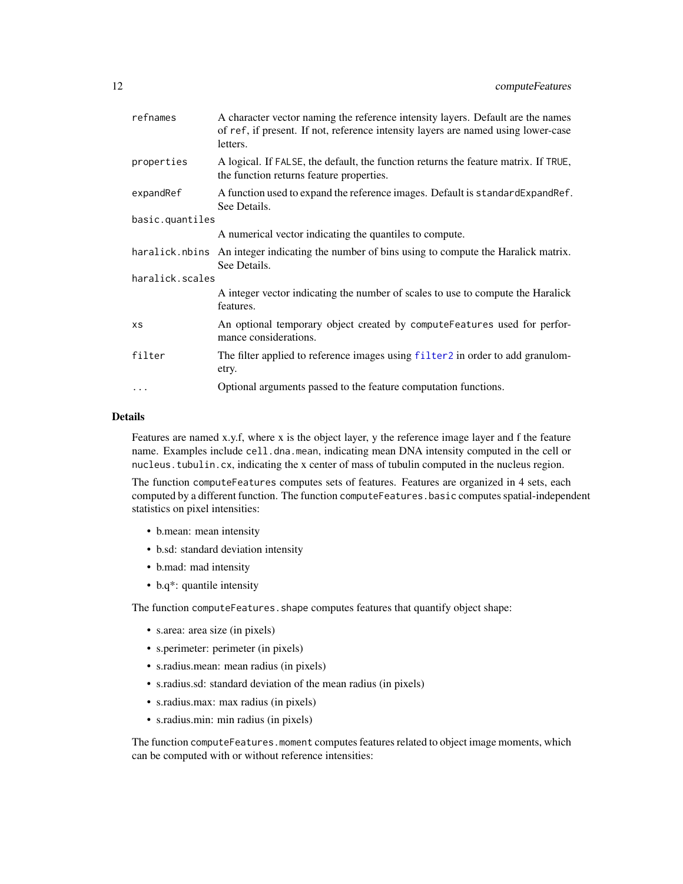<span id="page-11-0"></span>

| refnames        | A character vector naming the reference intensity layers. Default are the names<br>of ref, if present. If not, reference intensity layers are named using lower-case<br>letters. |
|-----------------|----------------------------------------------------------------------------------------------------------------------------------------------------------------------------------|
| properties      | A logical. If FALSE, the default, the function returns the feature matrix. If TRUE,<br>the function returns feature properties.                                                  |
| expandRef       | A function used to expand the reference images. Default is standard Expand Ref.<br>See Details.                                                                                  |
| basic.quantiles |                                                                                                                                                                                  |
|                 | A numerical vector indicating the quantiles to compute.                                                                                                                          |
|                 | haralick noting An integer indicating the number of bins using to compute the Haralick matrix.<br>See Details.                                                                   |
| haralick.scales |                                                                                                                                                                                  |
|                 | A integer vector indicating the number of scales to use to compute the Haralick<br>features.                                                                                     |
| XS              | An optional temporary object created by computeFeatures used for perfor-<br>mance considerations.                                                                                |
| filter          | The filter applied to reference images using filter2 in order to add granulom-<br>etry.                                                                                          |
| $\cdots$        | Optional arguments passed to the feature computation functions.                                                                                                                  |

#### Details

Features are named x.y.f, where x is the object layer, y the reference image layer and f the feature name. Examples include cell.dna.mean, indicating mean DNA intensity computed in the cell or nucleus.tubulin.cx, indicating the x center of mass of tubulin computed in the nucleus region.

The function computeFeatures computes sets of features. Features are organized in 4 sets, each computed by a different function. The function computeFeatures.basic computes spatial-independent statistics on pixel intensities:

- b.mean: mean intensity
- b.sd: standard deviation intensity
- b.mad: mad intensity
- b.q\*: quantile intensity

The function computeFeatures.shape computes features that quantify object shape:

- s.area: area size (in pixels)
- s.perimeter: perimeter (in pixels)
- s.radius.mean: mean radius (in pixels)
- s.radius.sd: standard deviation of the mean radius (in pixels)
- s.radius.max: max radius (in pixels)
- s.radius.min: min radius (in pixels)

The function computeFeatures.moment computes features related to object image moments, which can be computed with or without reference intensities: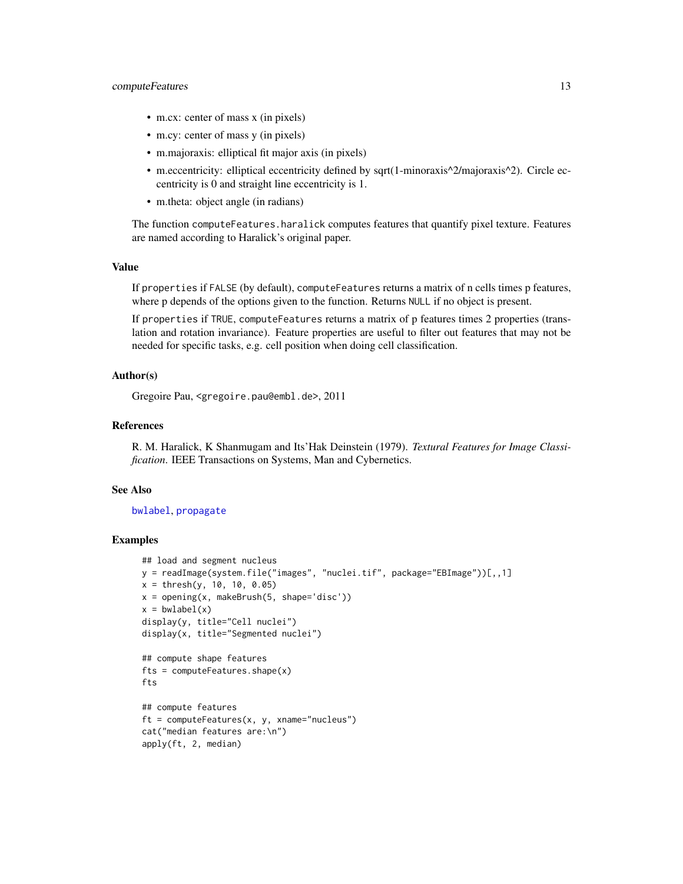#### <span id="page-12-0"></span>computeFeatures 13

- m.cx: center of mass x (in pixels)
- m.cy: center of mass y (in pixels)
- m.majoraxis: elliptical fit major axis (in pixels)
- m.eccentricity: elliptical eccentricity defined by sqrt(1-minoraxis^2/majoraxis^2). Circle eccentricity is 0 and straight line eccentricity is 1.
- m.theta: object angle (in radians)

The function computeFeatures.haralick computes features that quantify pixel texture. Features are named according to Haralick's original paper.

# Value

If properties if FALSE (by default), computeFeatures returns a matrix of n cells times p features, where p depends of the options given to the function. Returns NULL if no object is present.

If properties if TRUE, computeFeatures returns a matrix of p features times 2 properties (translation and rotation invariance). Feature properties are useful to filter out features that may not be needed for specific tasks, e.g. cell position when doing cell classification.

# Author(s)

Gregoire Pau, <gregoire.pau@embl.de>, 2011

# References

R. M. Haralick, K Shanmugam and Its'Hak Deinstein (1979). *Textural Features for Image Classification*. IEEE Transactions on Systems, Man and Cybernetics.

#### See Also

[bwlabel](#page-3-1), [propagate](#page-41-1)

```
## load and segment nucleus
y = readImage(system.file("images", "nuclei.tif", package="EBImage"))[,,1]
x = thresh(y, 10, 10, 0.05)
x = opening(x, makeBrush(5, shape='disc'))x = bwlabel(x)display(y, title="Cell nuclei")
display(x, title="Segmented nuclei")
## compute shape features
fts = computeFeatures.shape(x)
fts
## compute features
ft = computeFeatures(x, y, xname="nucleus")cat("median features are:\n")
apply(ft, 2, median)
```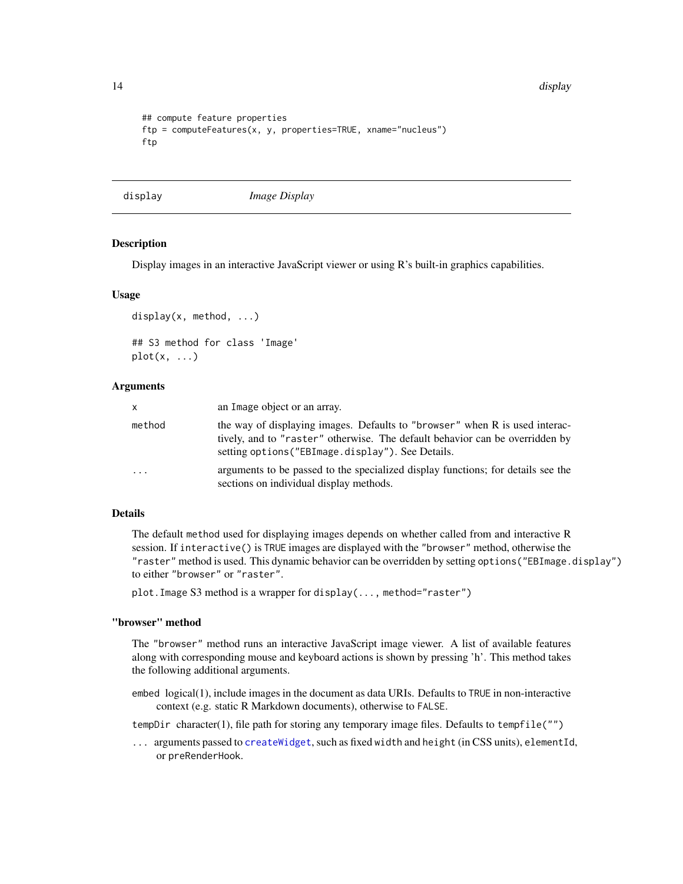14 display

```
## compute feature properties
ftp = computeFeatures(x, y, properties=TRUE, xname="nucleus")ftp
```
<span id="page-13-1"></span>display *Image Display*

# Description

Display images in an interactive JavaScript viewer or using R's built-in graphics capabilities.

#### Usage

```
display(x, method, ...)
## S3 method for class 'Image'
plot(x, \ldots)
```
# Arguments

| X       | an Image object or an array.                                                                                                                                                                                     |
|---------|------------------------------------------------------------------------------------------------------------------------------------------------------------------------------------------------------------------|
| method  | the way of displaying images. Defaults to "browser" when R is used interac-<br>tively, and to "raster" otherwise. The default behavior can be overridden by<br>setting options ("EBImage.display"). See Details. |
| $\cdot$ | arguments to be passed to the specialized display functions; for details see the<br>sections on individual display methods.                                                                                      |

#### Details

The default method used for displaying images depends on whether called from and interactive R session. If interactive() is TRUE images are displayed with the "browser" method, otherwise the "raster" method is used. This dynamic behavior can be overridden by setting options("EBImage.display") to either "browser" or "raster".

plot.Image S3 method is a wrapper for display(..., method="raster")

# "browser" method

The "browser" method runs an interactive JavaScript image viewer. A list of available features along with corresponding mouse and keyboard actions is shown by pressing 'h'. This method takes the following additional arguments.

embed logical(1), include images in the document as data URIs. Defaults to TRUE in non-interactive context (e.g. static R Markdown documents), otherwise to FALSE.

tempDir character(1), file path for storing any temporary image files. Defaults to tempfile("")

... arguments passed to [createWidget](#page-0-0), such as fixed width and height (in CSS units), elementId, or preRenderHook.

<span id="page-13-0"></span>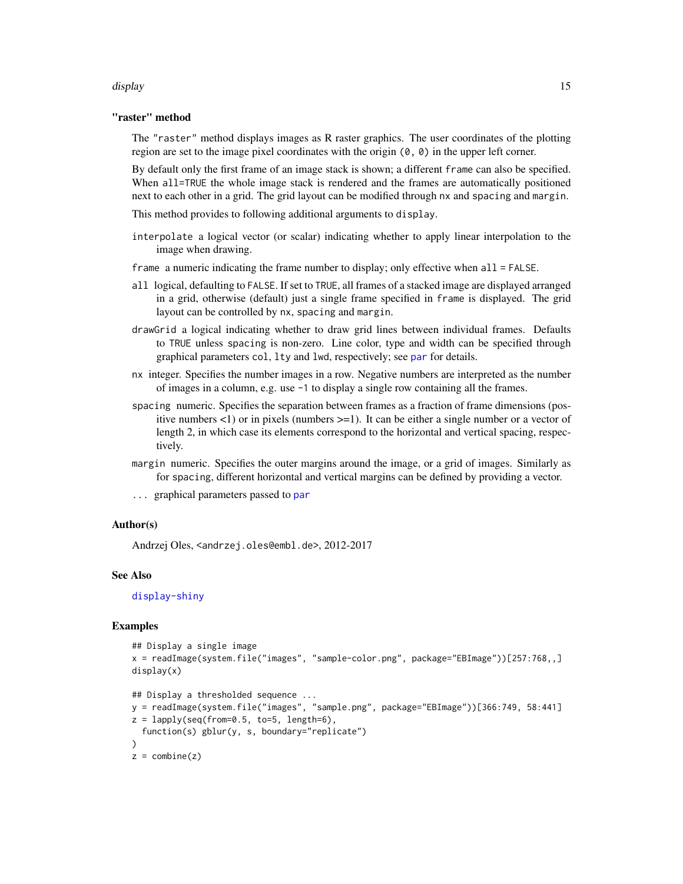#### <span id="page-14-0"></span>display that the control of the control of the control of the control of the control of the control of the control of the control of the control of the control of the control of the control of the control of the control of

# "raster" method

The "raster" method displays images as R raster graphics. The user coordinates of the plotting region are set to the image pixel coordinates with the origin  $(0, 0)$  in the upper left corner.

By default only the first frame of an image stack is shown; a different frame can also be specified. When all=TRUE the whole image stack is rendered and the frames are automatically positioned next to each other in a grid. The grid layout can be modified through nx and spacing and margin.

This method provides to following additional arguments to display.

interpolate a logical vector (or scalar) indicating whether to apply linear interpolation to the image when drawing.

frame a numeric indicating the frame number to display; only effective when all = FALSE.

- all logical, defaulting to FALSE. If set to TRUE, all frames of a stacked image are displayed arranged in a grid, otherwise (default) just a single frame specified in frame is displayed. The grid layout can be controlled by nx, spacing and margin.
- drawGrid a logical indicating whether to draw grid lines between individual frames. Defaults to TRUE unless spacing is non-zero. Line color, type and width can be specified through graphical parameters col, lty and lwd, respectively; see [par](#page-0-0) for details.
- nx integer. Specifies the number images in a row. Negative numbers are interpreted as the number of images in a column, e.g. use -1 to display a single row containing all the frames.
- spacing numeric. Specifies the separation between frames as a fraction of frame dimensions (positive numbers  $\langle 1 \rangle$  or in pixels (numbers  $\langle 2 \rangle = 1$ ). It can be either a single number or a vector of length 2, in which case its elements correspond to the horizontal and vertical spacing, respectively.
- margin numeric. Specifies the outer margins around the image, or a grid of images. Similarly as for spacing, different horizontal and vertical margins can be defined by providing a vector.
- graphical [par](#page-0-0)ameters passed to par

# Author(s)

Andrzej Oles, <andrzej.oles@embl.de>, 2012-2017

#### See Also

[display-shiny](#page-15-1)

```
## Display a single image
x = readImage(system.file("images", "sample-color.png", package="EBImage"))[257:768,,]
display(x)
## Display a thresholded sequence ...
y = readImage(system.file("images", "sample.png", package="EBImage"))[366:749, 58:441]
z = lapply(seq(from=0.5, to=5, length=6),
 function(s) gblur(y, s, boundary="replicate")
```

```
\lambdaz = combine(z)
```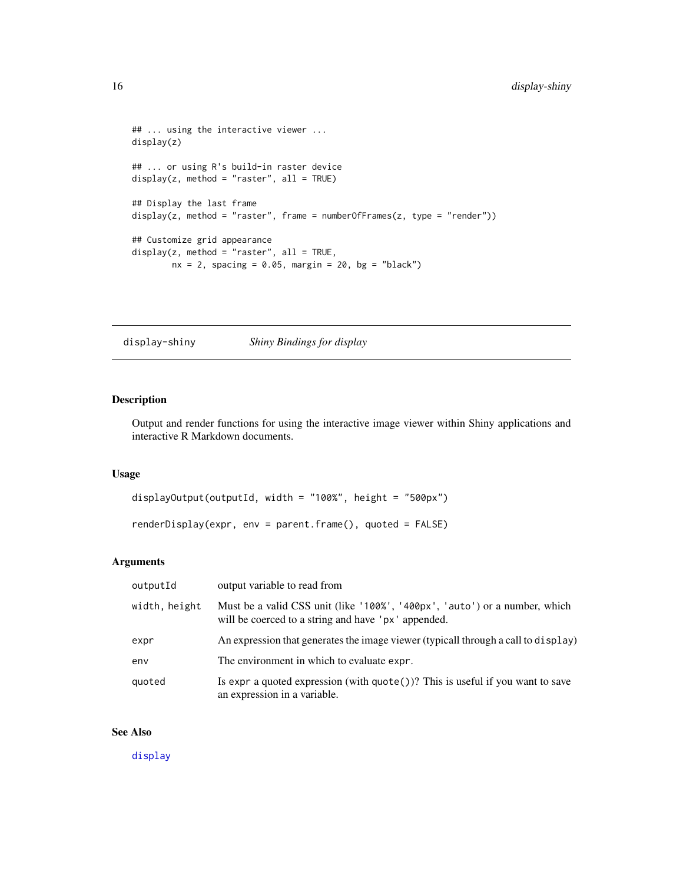```
## ... using the interactive viewer ...
display(z)
## ... or using R's build-in raster device
display(z, method = "raster", all = TRUE)
## Display the last frame
display(z, method = "raster", frame = numberOfFrames(z, type = "render"))
## Customize grid appearance
display(z, method = "raster", all = TRUE,nx = 2, spacing = 0.05, margin = 20, bg = "black")
```
<span id="page-15-1"></span>display-shiny *Shiny Bindings for display*

# Description

Output and render functions for using the interactive image viewer within Shiny applications and interactive R Markdown documents.

# Usage

```
displayOutput(outputId, width = "100%", height = "500px")
renderDisplay(expr, env = parent.frame(), quoted = FALSE)
```
# Arguments

| outputId      | output variable to read from                                                                                                      |
|---------------|-----------------------------------------------------------------------------------------------------------------------------------|
| width, height | Must be a valid CSS unit (like '100%', '400px', 'auto') or a number, which<br>will be coerced to a string and have 'px' appended. |
| expr          | An expression that generates the image viewer (typicall through a call to display)                                                |
| env           | The environment in which to evaluate expr.                                                                                        |
| quoted        | Is expr a quoted expression (with $\text{quote}()$ )? This is useful if you want to save<br>an expression in a variable.          |

# See Also

[display](#page-13-1)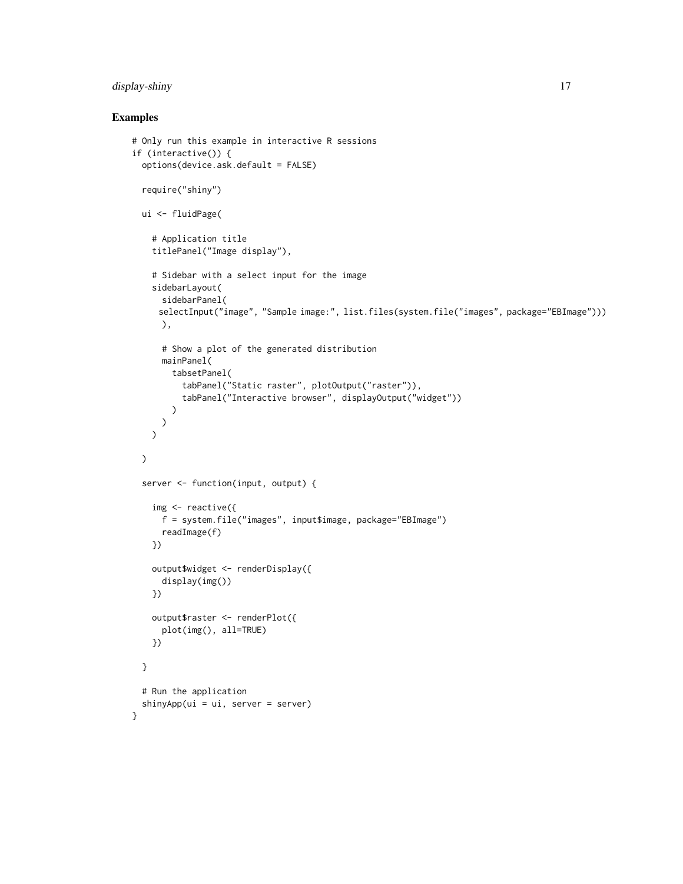# display-shiny 17

# Examples

}

```
# Only run this example in interactive R sessions
if (interactive()) {
 options(device.ask.default = FALSE)
 require("shiny")
 ui <- fluidPage(
    # Application title
    titlePanel("Image display"),
    # Sidebar with a select input for the image
    sidebarLayout(
      sidebarPanel(
     selectInput("image", "Sample image:", list.files(system.file("images", package="EBImage")))
     ),
      # Show a plot of the generated distribution
      mainPanel(
        tabsetPanel(
          tabPanel("Static raster", plotOutput("raster")),
          tabPanel("Interactive browser", displayOutput("widget"))
       )
     )
   )
 \mathcal{L}server <- function(input, output) {
   img \leq reactive({
     f = system.file("images", input$image, package="EBImage")
      readImage(f)
   })
   output$widget <- renderDisplay({
      display(img())
   })
   output$raster <- renderPlot({
      plot(img(), all=TRUE)
   })
 }
 # Run the application
 shinyApp(ui = ui, server = server)
```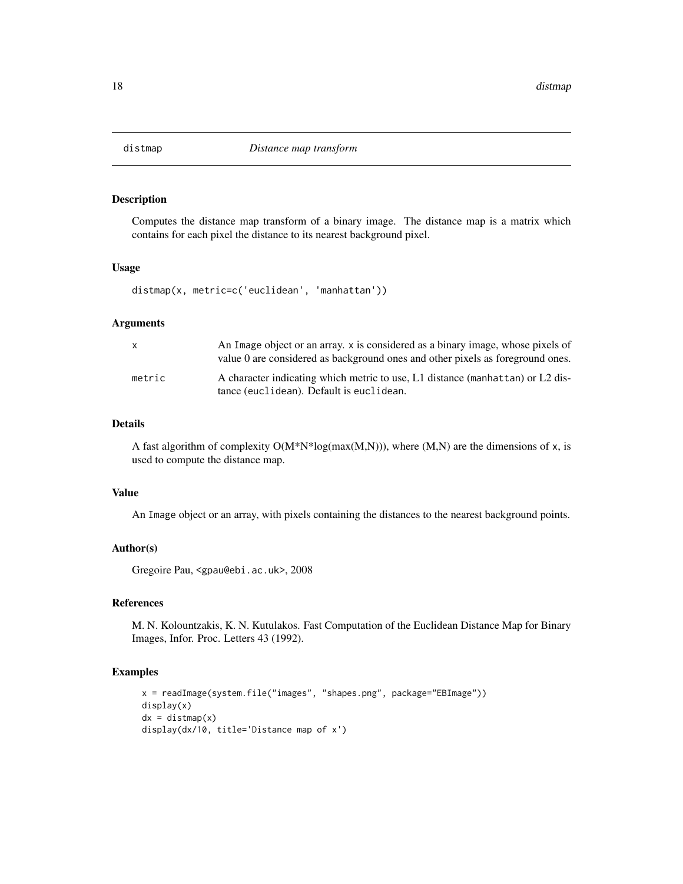<span id="page-17-0"></span>

Computes the distance map transform of a binary image. The distance map is a matrix which contains for each pixel the distance to its nearest background pixel.

#### Usage

distmap(x, metric=c('euclidean', 'manhattan'))

# **Arguments**

|        | An Image object or an array. x is considered as a binary image, whose pixels of<br>value 0 are considered as background ones and other pixels as foreground ones. |
|--------|-------------------------------------------------------------------------------------------------------------------------------------------------------------------|
| metric | A character indicating which metric to use, L1 distance (manhattan) or L2 dis-<br>tance (euclidean). Default is euclidean.                                        |

# Details

A fast algorithm of complexity  $O(M*N*log(max(M,N)))$ , where  $(M,N)$  are the dimensions of x, is used to compute the distance map.

# Value

An Image object or an array, with pixels containing the distances to the nearest background points.

#### Author(s)

Gregoire Pau, <gpau@ebi.ac.uk>, 2008

#### References

M. N. Kolountzakis, K. N. Kutulakos. Fast Computation of the Euclidean Distance Map for Binary Images, Infor. Proc. Letters 43 (1992).

```
x = readImage(system.file("images", "shapes.png", package="EBImage"))
display(x)
dx = \text{distmap}(x)display(dx/10, title='Distance map of x')
```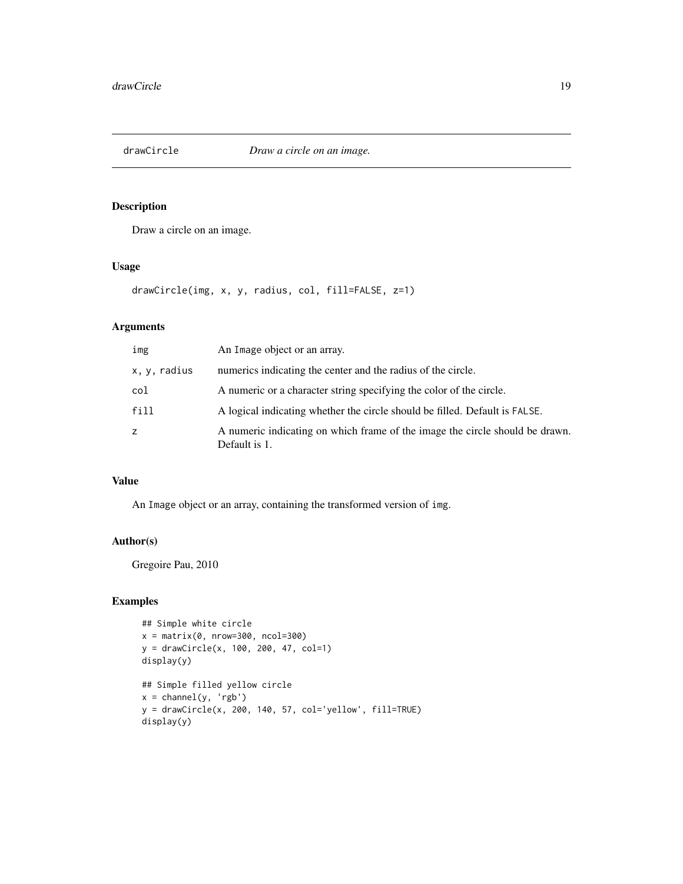<span id="page-18-0"></span>

Draw a circle on an image.

### Usage

drawCircle(img, x, y, radius, col, fill=FALSE, z=1)

# Arguments

| img          | An Image object or an array.                                                                  |
|--------------|-----------------------------------------------------------------------------------------------|
| x, y, radius | numerics indicating the center and the radius of the circle.                                  |
| col          | A numeric or a character string specifying the color of the circle.                           |
| fill         | A logical indicating whether the circle should be filled. Default is FALSE.                   |
| z            | A numeric indicating on which frame of the image the circle should be drawn.<br>Default is 1. |

# Value

An Image object or an array, containing the transformed version of img.

# Author(s)

Gregoire Pau, 2010

```
## Simple white circle
x = matrix(0, nrow=300, ncol=300)y = drawCircle(x, 100, 200, 47, col=1)
display(y)
## Simple filled yellow circle
x = channel(y, 'rgb')y = drawCircle(x, 200, 140, 57, col='yellow', fill=TRUE)
display(y)
```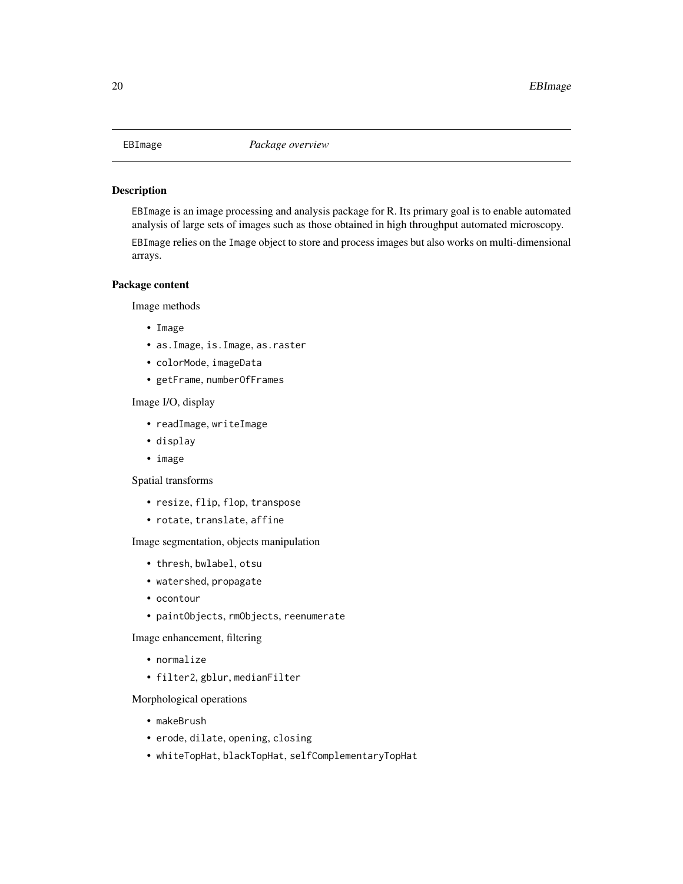<span id="page-19-0"></span>EBImage is an image processing and analysis package for R. Its primary goal is to enable automated analysis of large sets of images such as those obtained in high throughput automated microscopy.

EBImage relies on the Image object to store and process images but also works on multi-dimensional arrays.

# Package content

Image methods

- Image
- as.Image, is.Image, as.raster
- colorMode, imageData
- getFrame, numberOfFrames

Image I/O, display

- readImage, writeImage
- display
- image

Spatial transforms

- resize, flip, flop, transpose
- rotate, translate, affine

Image segmentation, objects manipulation

- thresh, bwlabel, otsu
- watershed, propagate
- ocontour
- paintObjects, rmObjects, reenumerate

Image enhancement, filtering

- normalize
- filter2, gblur, medianFilter

Morphological operations

- makeBrush
- erode, dilate, opening, closing
- whiteTopHat, blackTopHat, selfComplementaryTopHat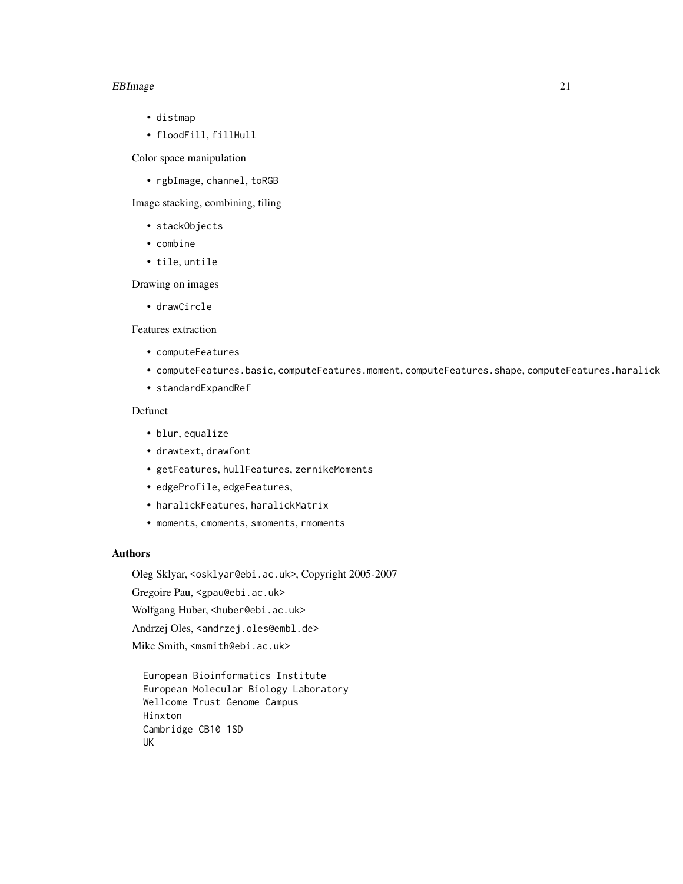#### EBImage 21

- distmap
- floodFill, fillHull

Color space manipulation

• rgbImage, channel, toRGB

Image stacking, combining, tiling

- stackObjects
- combine
- tile, untile

Drawing on images

• drawCircle

Features extraction

- computeFeatures
- computeFeatures.basic, computeFeatures.moment, computeFeatures.shape, computeFeatures.haralick
- standardExpandRef

# Defunct

- blur, equalize
- drawtext, drawfont
- getFeatures, hullFeatures, zernikeMoments
- edgeProfile, edgeFeatures,
- haralickFeatures, haralickMatrix
- moments, cmoments, smoments, rmoments

#### Authors

Oleg Sklyar, <osklyar@ebi.ac.uk>, Copyright 2005-2007

Gregoire Pau, <gpau@ebi.ac.uk>

Wolfgang Huber, <huber@ebi.ac.uk>

Andrzej Oles, <andrzej.oles@embl.de>

Mike Smith, <msmith@ebi.ac.uk>

European Bioinformatics Institute European Molecular Biology Laboratory Wellcome Trust Genome Campus Hinxton Cambridge CB10 1SD UK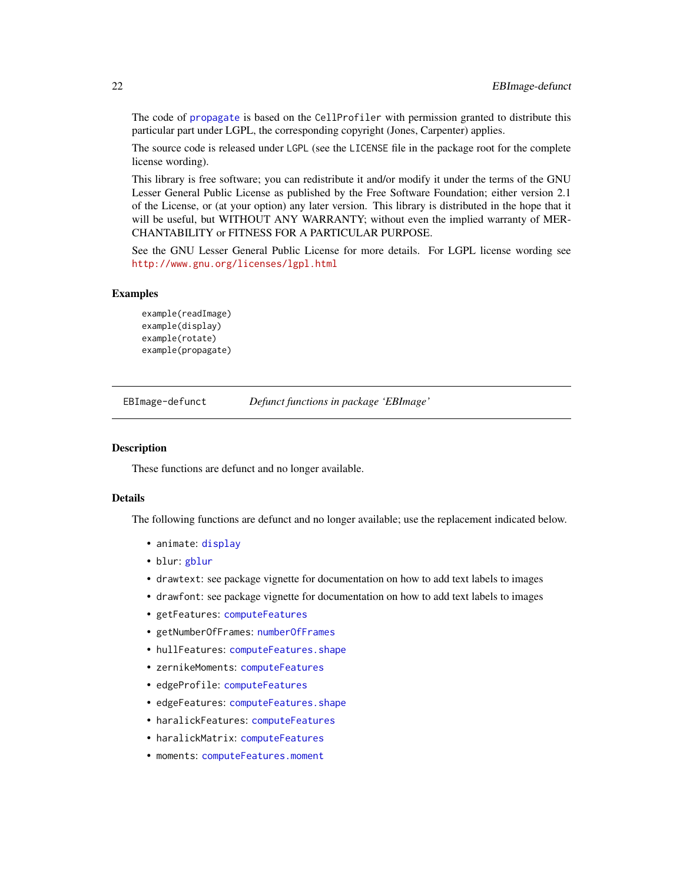The code of [propagate](#page-41-1) is based on the CellProfiler with permission granted to distribute this particular part under LGPL, the corresponding copyright (Jones, Carpenter) applies.

The source code is released under LGPL (see the LICENSE file in the package root for the complete license wording).

This library is free software; you can redistribute it and/or modify it under the terms of the GNU Lesser General Public License as published by the Free Software Foundation; either version 2.1 of the License, or (at your option) any later version. This library is distributed in the hope that it will be useful, but WITHOUT ANY WARRANTY; without even the implied warranty of MER-CHANTABILITY or FITNESS FOR A PARTICULAR PURPOSE.

See the GNU Lesser General Public License for more details. For LGPL license wording see <http://www.gnu.org/licenses/lgpl.html>

# Examples

```
example(readImage)
example(display)
example(rotate)
example(propagate)
```
EBImage-defunct *Defunct functions in package 'EBImage'*

# <span id="page-21-1"></span>Description

These functions are defunct and no longer available.

# Details

The following functions are defunct and no longer available; use the replacement indicated below.

- animate: [display](#page-13-1)
- blur: [gblur](#page-27-1)
- drawtext: see package vignette for documentation on how to add text labels to images
- drawfont: see package vignette for documentation on how to add text labels to images
- getFeatures: [computeFeatures](#page-10-1)
- getNumberOfFrames: [numberOfFrames](#page-28-1)
- hullFeatures: [computeFeatures.shape](#page-10-2)
- zernikeMoments: [computeFeatures](#page-10-1)
- edgeProfile: [computeFeatures](#page-10-1)
- edgeFeatures: [computeFeatures.shape](#page-10-2)
- haralickFeatures: [computeFeatures](#page-10-1)
- haralickMatrix: [computeFeatures](#page-10-1)
- moments: [computeFeatures.moment](#page-10-2)

<span id="page-21-0"></span>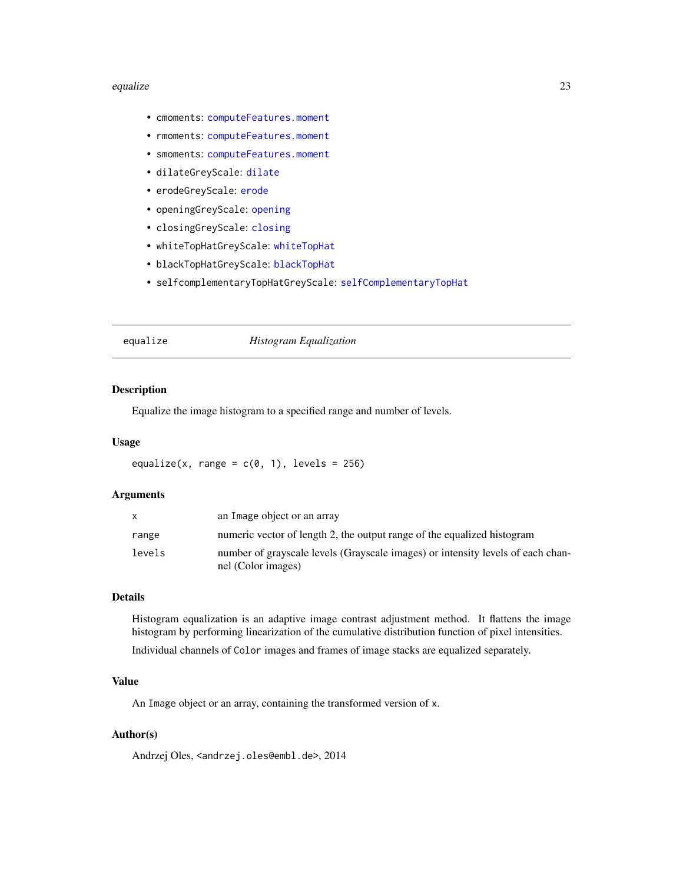#### <span id="page-22-0"></span>equalize 23

- cmoments: [computeFeatures.moment](#page-10-2)
- rmoments: [computeFeatures.moment](#page-10-2)
- smoments: [computeFeatures.moment](#page-10-2)
- dilateGreyScale: [dilate](#page-35-1)
- erodeGreyScale: [erode](#page-35-1)
- openingGreyScale: [opening](#page-35-1)
- closingGreyScale: [closing](#page-35-1)
- whiteTopHatGreyScale: [whiteTopHat](#page-35-1)
- blackTopHatGreyScale: [blackTopHat](#page-35-1)
- selfcomplementaryTopHatGreyScale: [selfComplementaryTopHat](#page-35-1)

# <span id="page-22-1"></span>equalize *Histogram Equalization*

# Description

Equalize the image histogram to a specified range and number of levels.

#### Usage

equalize(x, range =  $c(0, 1)$ , levels = 256)

## **Arguments**

| X      | an Image object or an array                                                                           |
|--------|-------------------------------------------------------------------------------------------------------|
| range  | numeric vector of length 2, the output range of the equalized histogram                               |
| levels | number of grayscale levels (Grayscale images) or intensity levels of each chan-<br>nel (Color images) |

# Details

Histogram equalization is an adaptive image contrast adjustment method. It flattens the image histogram by performing linearization of the cumulative distribution function of pixel intensities.

Individual channels of Color images and frames of image stacks are equalized separately.

#### Value

An Image object or an array, containing the transformed version of x.

# Author(s)

Andrzej Oles, <andrzej.oles@embl.de>, 2014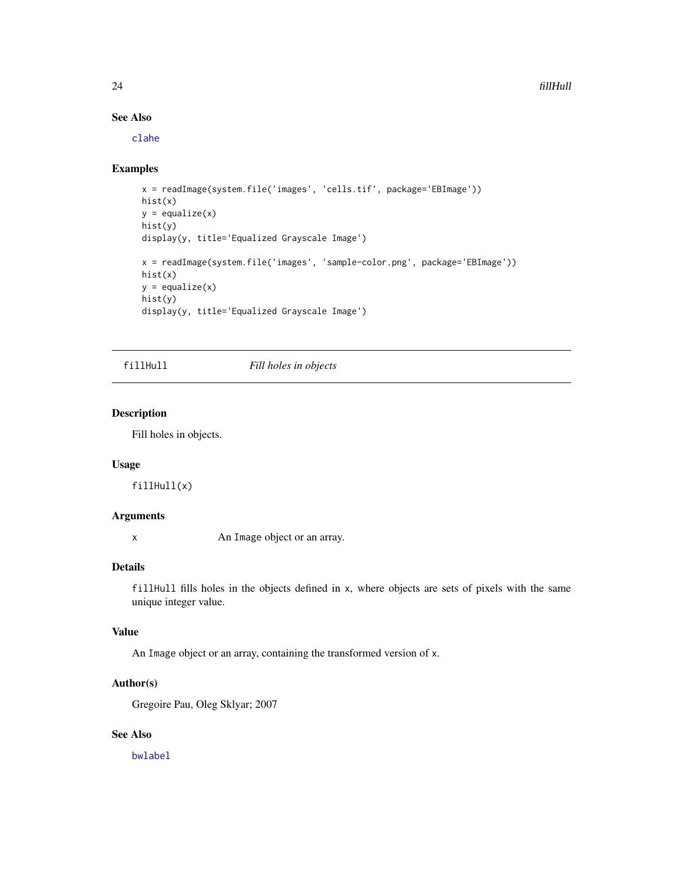#### 24 fillHull and the contract of the contract of the contract of the contract of the contract of the contract of the contract of the contract of the contract of the contract of the contract of the contract of the contract o

# See Also

[clahe](#page-5-1)

# Examples

```
x = readImage(system.file('images', 'cells.tif', package='EBImage'))
hist(x)
y = \text{equalize}(x)hist(y)
display(y, title='Equalized Grayscale Image')
x = readImage(system.file('images', 'sample-color.png', package='EBImage'))
hist(x)
y = \text{equalize}(x)hist(y)
display(y, title='Equalized Grayscale Image')
```
fillHull *Fill holes in objects*

# Description

Fill holes in objects.

#### Usage

fillHull(x)

# Arguments

x An Image object or an array.

# Details

fillHull fills holes in the objects defined in x, where objects are sets of pixels with the same unique integer value.

# Value

An Image object or an array, containing the transformed version of x.

#### Author(s)

Gregoire Pau, Oleg Sklyar; 2007

# See Also

[bwlabel](#page-3-1)

<span id="page-23-0"></span>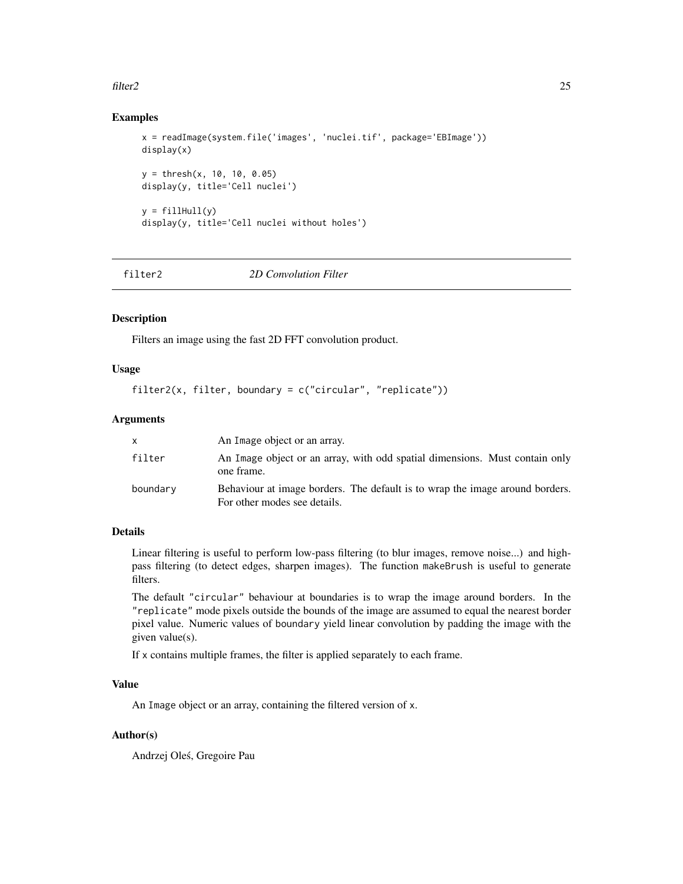#### <span id="page-24-0"></span>filter2 25

# Examples

```
x = readImage(system.file('images', 'nuclei.tif', package='EBImage'))
display(x)
y = thresh(x, 10, 10, 0.05)display(y, title='Cell nuclei')
y = fillHull(y)display(y, title='Cell nuclei without holes')
```
<span id="page-24-1"></span>

filter2 *2D Convolution Filter*

# Description

Filters an image using the fast 2D FFT convolution product.

# Usage

```
filter2(x, filter, boundary = c("circular", "replicate"))
```
#### **Arguments**

|          | An Image object or an array.                                                                                 |
|----------|--------------------------------------------------------------------------------------------------------------|
| filter   | An Image object or an array, with odd spatial dimensions. Must contain only<br>one frame.                    |
| boundary | Behaviour at image borders. The default is to wrap the image around borders.<br>For other modes see details. |

#### Details

Linear filtering is useful to perform low-pass filtering (to blur images, remove noise...) and highpass filtering (to detect edges, sharpen images). The function makeBrush is useful to generate filters.

The default "circular" behaviour at boundaries is to wrap the image around borders. In the "replicate" mode pixels outside the bounds of the image are assumed to equal the nearest border pixel value. Numeric values of boundary yield linear convolution by padding the image with the given value(s).

If x contains multiple frames, the filter is applied separately to each frame.

# Value

An Image object or an array, containing the filtered version of x.

# Author(s)

Andrzej Oles, Gregoire Pau ´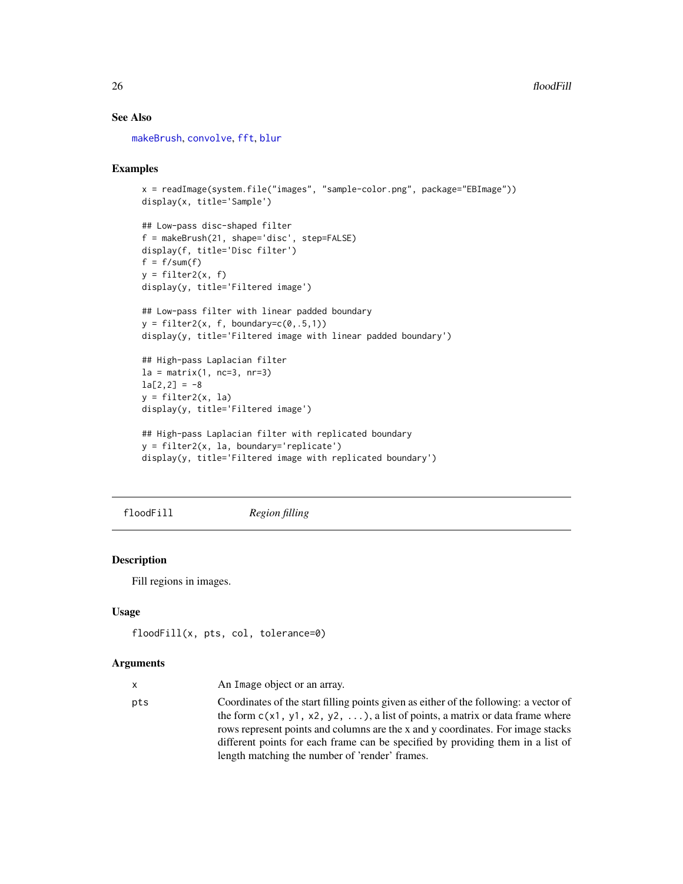# <span id="page-25-0"></span>See Also

[makeBrush](#page-35-1), [convolve](#page-0-0), [fft](#page-0-0), [blur](#page-21-1)

# Examples

```
x = readImage(system.file("images", "sample-color.png", package="EBImage"))
display(x, title='Sample')
## Low-pass disc-shaped filter
f = makeBrush(21, shape='disc', step=FALSE)
display(f, title='Disc filter')
f = f/sum(f)y = filter2(x, f)display(y, title='Filtered image')
## Low-pass filter with linear padded boundary
y = filter2(x, f, boundary=c(0,.5,1))display(y, title='Filtered image with linear padded boundary')
## High-pass Laplacian filter
la = matrix(1, nc=3, nr=3)la[2,2] = -8y = filter2(x, la)display(y, title='Filtered image')
## High-pass Laplacian filter with replicated boundary
y = filter2(x, la, boundary='replicate')
display(y, title='Filtered image with replicated boundary')
```
floodFill *Region filling*

# Description

Fill regions in images.

# Usage

```
floodFill(x, pts, col, tolerance=0)
```
#### Arguments

| x.  | An Image object or an array.                                                          |
|-----|---------------------------------------------------------------------------------------|
| pts | Coordinates of the start filling points given as either of the following: a vector of |
|     | the form $c(x1, y1, x2, y2, )$ , a list of points, a matrix or data frame where       |
|     | rows represent points and columns are the x and y coordinates. For image stacks       |
|     | different points for each frame can be specified by providing them in a list of       |
|     | length matching the number of 'render' frames.                                        |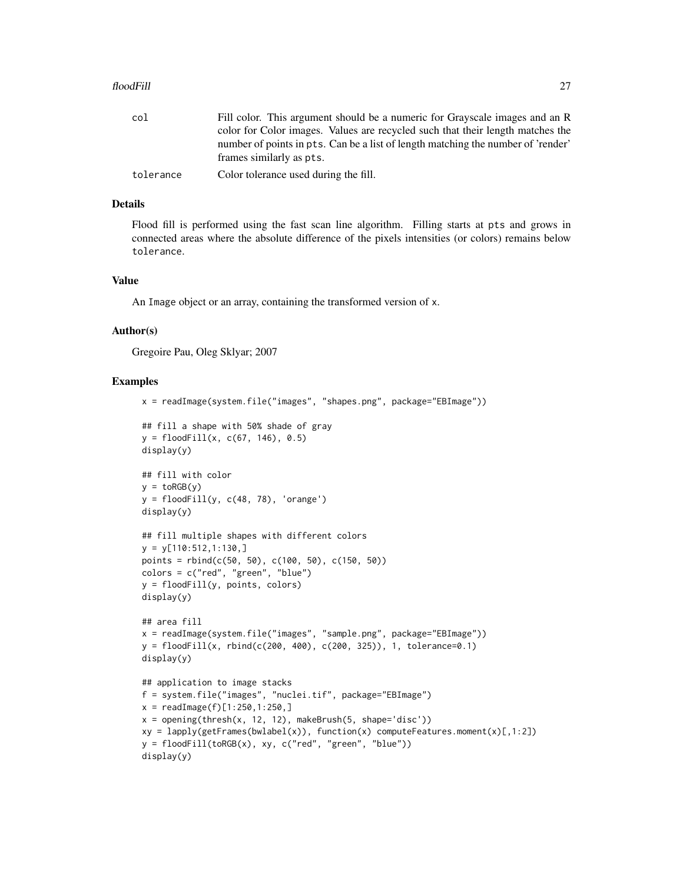#### floodFill 27 and 27 and 27 and 27 and 27 and 27 and 27 and 27 and 27 and 27 and 27 and 27 and 27 and 27 and 27

tolerance Color tolerance used during the fill.

# Details

Flood fill is performed using the fast scan line algorithm. Filling starts at pts and grows in connected areas where the absolute difference of the pixels intensities (or colors) remains below tolerance.

#### Value

An Image object or an array, containing the transformed version of x.

#### Author(s)

Gregoire Pau, Oleg Sklyar; 2007

```
x = readImage(system.file("images", "shapes.png", package="EBImage"))
## fill a shape with 50% shade of gray
y = floatFill(x, c(67, 146), 0.5)display(y)
## fill with color
y = toRGB(y)y = \text{floatFill}(y, c(48, 78), 'orange')display(y)
## fill multiple shapes with different colors
y = y[110:512, 1:130, ]points = rbind(c(50, 50), c(100, 50), c(150, 50))colors = c("red", "green", "blue")
y = floodFill(y, points, colors)
display(y)
## area fill
x = readImage(system.file("images", "sample.png", package="EBImage"))
y = floatfill(x, rbind(c(200, 400), c(200, 325)), 1, tolerance=0.1)
display(y)
## application to image stacks
f = system.file("images", "nuclei.tif", package="EBImage")
x = readImage(f)[1:250, 1:250, ]x = opening(thresh(x, 12, 12), makeBrush(5, shape='disc'))
xy = \text{lapply}(getFrames(bwlabel(x)), function(x) computeFeatures.moment(x)[,1:2])y = floatfill(toRGB(x), xy, c("red", "green", "blue"))display(y)
```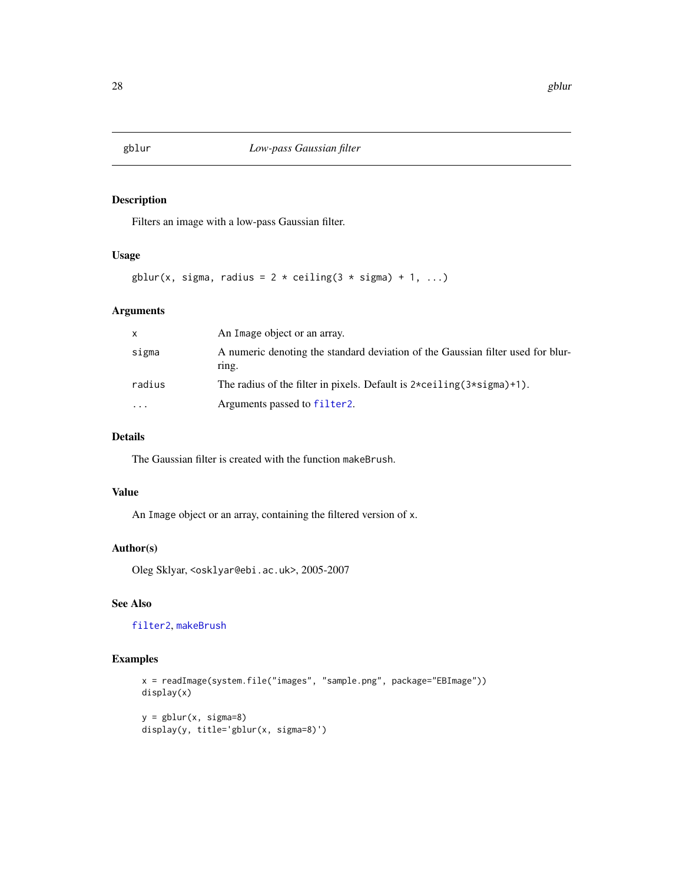<span id="page-27-1"></span><span id="page-27-0"></span>

Filters an image with a low-pass Gaussian filter.

# Usage

```
gblur(x, sigma, radius = 2 * ceiling(3 * sigma) + 1, ...)
```
# Arguments

| X      | An Image object or an array.                                                                        |
|--------|-----------------------------------------------------------------------------------------------------|
| sigma  | A numeric denoting the standard deviation of the Gaussian filter used for blur-<br>ring.            |
| radius | The radius of the filter in pixels. Default is $2 \times \text{ceiling}(3 \times \text{sigma})+1$ . |
| .      | Arguments passed to filter <sub>2</sub> .                                                           |

# Details

The Gaussian filter is created with the function makeBrush.

# Value

An Image object or an array, containing the filtered version of x.

# Author(s)

Oleg Sklyar, <osklyar@ebi.ac.uk>, 2005-2007

# See Also

[filter2](#page-24-1), [makeBrush](#page-35-1)

```
x = readImage(system.file("images", "sample.png", package="EBImage"))
display(x)
y = gblur(x, sigma=8)display(y, title='gblur(x, sigma=8)')
```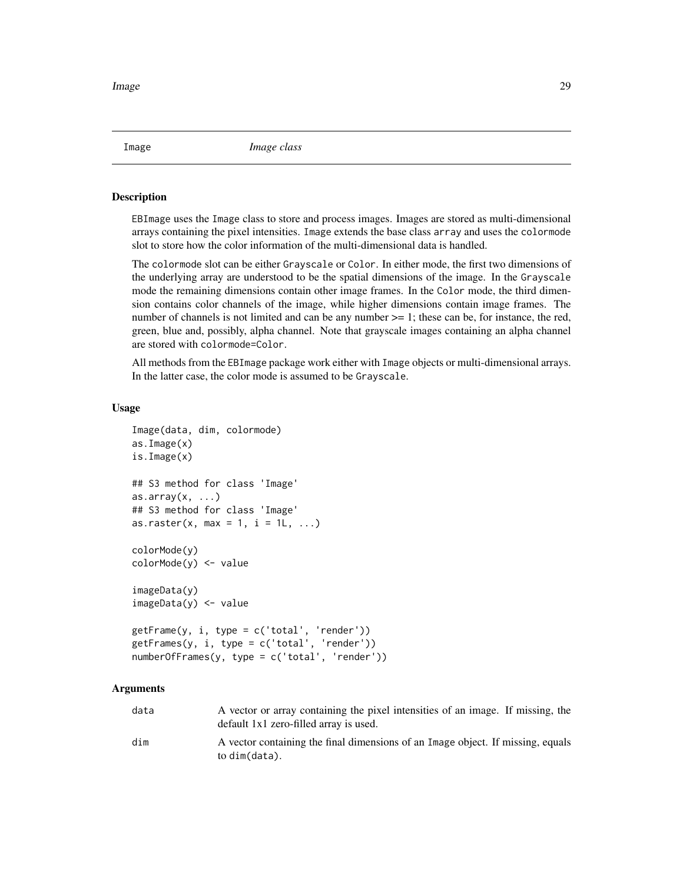<span id="page-28-2"></span><span id="page-28-0"></span>Image *Image class*

#### <span id="page-28-1"></span>Description

EBImage uses the Image class to store and process images. Images are stored as multi-dimensional arrays containing the pixel intensities. Image extends the base class array and uses the colormode slot to store how the color information of the multi-dimensional data is handled.

The colormode slot can be either Grayscale or Color. In either mode, the first two dimensions of the underlying array are understood to be the spatial dimensions of the image. In the Grayscale mode the remaining dimensions contain other image frames. In the Color mode, the third dimension contains color channels of the image, while higher dimensions contain image frames. The number of channels is not limited and can be any number  $\geq$  1; these can be, for instance, the red, green, blue and, possibly, alpha channel. Note that grayscale images containing an alpha channel are stored with colormode=Color.

All methods from the EBImage package work either with Image objects or multi-dimensional arrays. In the latter case, the color mode is assumed to be Grayscale.

#### Usage

```
Image(data, dim, colormode)
as.Image(x)
is.Image(x)
## S3 method for class 'Image'
as.array(x, ...)## S3 method for class 'Image'
as.raster(x, max = 1, i = 1, ...)
colorMode(y)
colorMode(y) <- value
imageData(y)
imageData(y) <- value
getFrame(y, i, type = c('total', 'render'))
getFrames(y, i, type = c('total', 'render'))
numberOfFrames(y, type = c('total', 'render'))
```
# Arguments

| data | A vector or array containing the pixel intensities of an image. If missing, the<br>default 1x1 zero-filled array is used. |
|------|---------------------------------------------------------------------------------------------------------------------------|
| dim  | A vector containing the final dimensions of an Image object. If missing, equals<br>to dim(data).                          |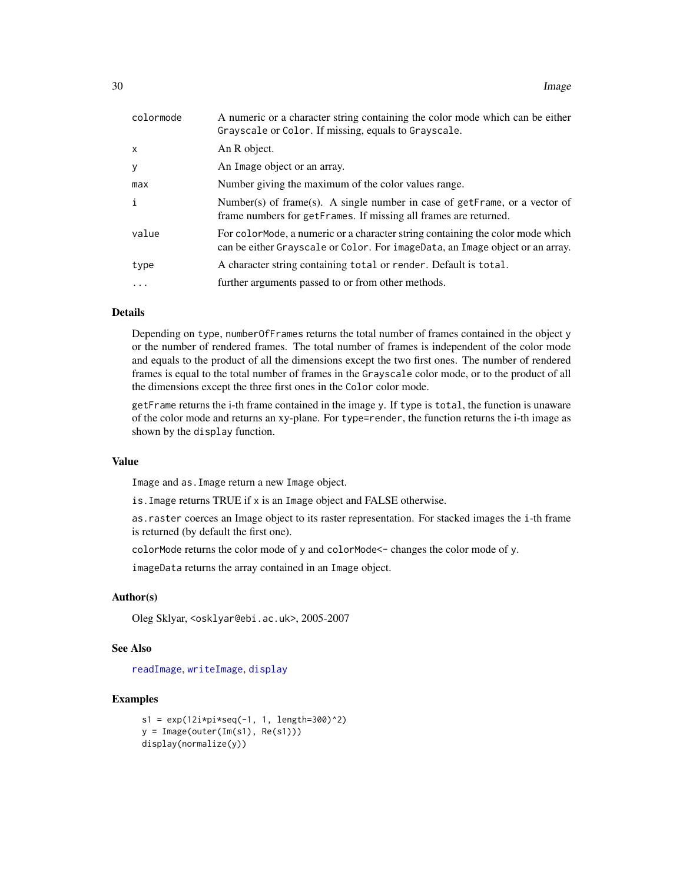<span id="page-29-0"></span>

| colormode    | A numeric or a character string containing the color mode which can be either<br>Grayscale or Color. If missing, equals to Grayscale.                            |
|--------------|------------------------------------------------------------------------------------------------------------------------------------------------------------------|
| $\mathsf{x}$ | An R object.                                                                                                                                                     |
| y            | An Image object or an array.                                                                                                                                     |
| max          | Number giving the maximum of the color values range.                                                                                                             |
| $\mathbf{i}$ | Number(s) of frame(s). A single number in case of getFrame, or a vector of<br>frame numbers for getFrames. If missing all frames are returned.                   |
| value        | For color Mode, a numeric or a character string containing the color mode which<br>can be either Grayscale or Color. For imageData, an Image object or an array. |
| type         | A character string containing total or render. Default is total.                                                                                                 |
| .            | further arguments passed to or from other methods.                                                                                                               |

# Details

Depending on type, numberOfFrames returns the total number of frames contained in the object y or the number of rendered frames. The total number of frames is independent of the color mode and equals to the product of all the dimensions except the two first ones. The number of rendered frames is equal to the total number of frames in the Grayscale color mode, or to the product of all the dimensions except the three first ones in the Color color mode.

getFrame returns the i-th frame contained in the image y. If type is total, the function is unaware of the color mode and returns an xy-plane. For type=render, the function returns the i-th image as shown by the display function.

#### Value

Image and as.Image return a new Image object.

is.Image returns TRUE if x is an Image object and FALSE otherwise.

as.raster coerces an Image object to its raster representation. For stacked images the i-th frame is returned (by default the first one).

colorMode returns the color mode of y and colorMode<- changes the color mode of y.

imageData returns the array contained in an Image object.

#### Author(s)

Oleg Sklyar, <osklyar@ebi.ac.uk>, 2005-2007

# See Also

[readImage](#page-30-1), [writeImage](#page-30-1), [display](#page-13-1)

```
s1 = exp(12i * pi * seq(-1, 1, length=300)^2)y = Image(out(Tm(s1), Re(s1)))display(normalize(y))
```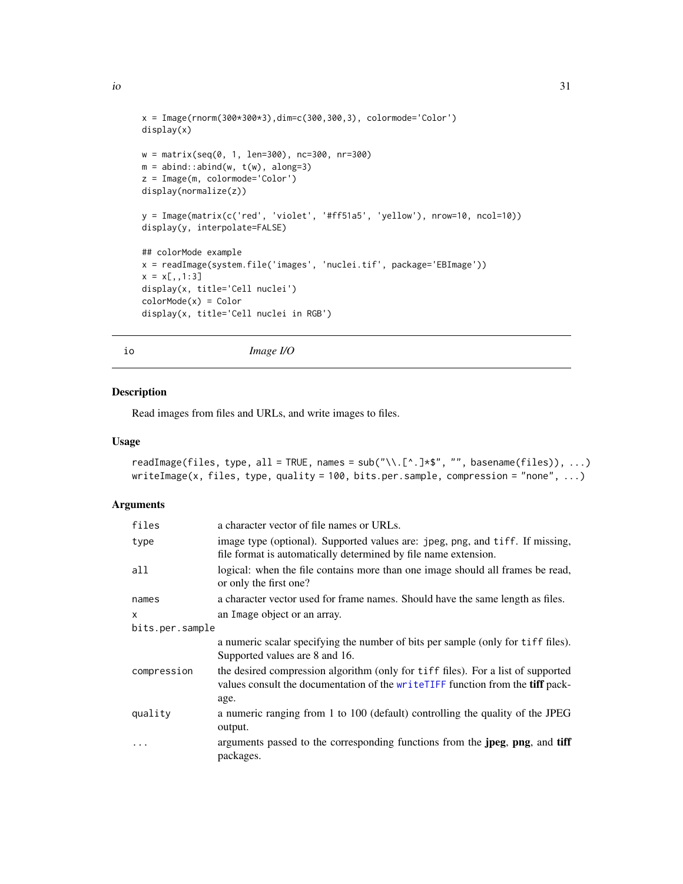```
io 31
```

```
x = \text{Image}(rnorm(300*300*3), dim=c(300,300,3), colormode='Color')display(x)
w = matrix(seq(0, 1, len=300), nc=300, nr=300)m = abind::abind(w, t(w), along=3)z = Image(m, colormode='Color')
display(normalize(z))
y = Image(matrix(c('red', 'violet', '#ff51a5', 'yellow'), nrow=10, ncol=10))
display(y, interpolate=FALSE)
## colorMode example
x = readImage(system.file('images', 'nuclei.tif', package='EBImage'))
x = x[,, 1:3]display(x, title='Cell nuclei')
colorMode(x) = Color
display(x, title='Cell nuclei in RGB')
```
io *Image I/O*

# <span id="page-30-1"></span>Description

Read images from files and URLs, and write images to files.

#### Usage

```
readImage(files, type, all = TRUE, names = sub("\\.[^.]*$", "", basename(files)), ...)
writeImage(x, files, type, quality = 100, bits.per.sample, compression = "none", ...)
```
# Arguments

| files           | a character vector of file names or URLs.                                                                                                                          |  |
|-----------------|--------------------------------------------------------------------------------------------------------------------------------------------------------------------|--|
| type            | image type (optional). Supported values are: jpeg, png, and tiff. If missing,<br>file format is automatically determined by file name extension.                   |  |
| all             | logical: when the file contains more than one image should all frames be read,<br>or only the first one?                                                           |  |
| names           | a character vector used for frame names. Should have the same length as files.                                                                                     |  |
| x               | an Image object or an array.                                                                                                                                       |  |
| bits.per.sample |                                                                                                                                                                    |  |
|                 | a numeric scalar specifying the number of bits per sample (only for tiff files).<br>Supported values are 8 and 16.                                                 |  |
| compression     | the desired compression algorithm (only for tiff files). For a list of supported<br>values consult the documentation of the writeTIFF function from the tiff pack- |  |
|                 | age.                                                                                                                                                               |  |
| quality         | a numeric ranging from 1 to 100 (default) controlling the quality of the JPEG<br>output.                                                                           |  |
| $\ddotsc$       | arguments passed to the corresponding functions from the <b>jpeg</b> , <b>png</b> , and <b>tiff</b><br>packages.                                                   |  |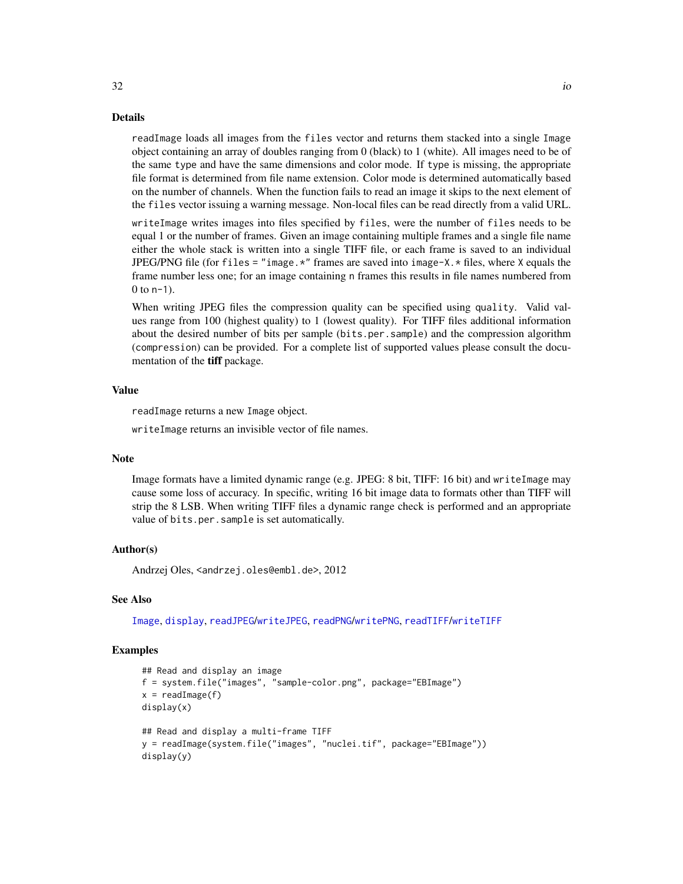#### Details

readImage loads all images from the files vector and returns them stacked into a single Image object containing an array of doubles ranging from 0 (black) to 1 (white). All images need to be of the same type and have the same dimensions and color mode. If type is missing, the appropriate file format is determined from file name extension. Color mode is determined automatically based on the number of channels. When the function fails to read an image it skips to the next element of the files vector issuing a warning message. Non-local files can be read directly from a valid URL.

writeImage writes images into files specified by files, were the number of files needs to be equal 1 or the number of frames. Given an image containing multiple frames and a single file name either the whole stack is written into a single TIFF file, or each frame is saved to an individual JPEG/PNG file (for files = "image. $*$ " frames are saved into image- $X.*$  files, where X equals the frame number less one; for an image containing n frames this results in file names numbered from  $0$  to  $n-1$ ).

When writing JPEG files the compression quality can be specified using quality. Valid values range from 100 (highest quality) to 1 (lowest quality). For TIFF files additional information about the desired number of bits per sample (bits.per.sample) and the compression algorithm (compression) can be provided. For a complete list of supported values please consult the documentation of the tiff package.

#### Value

readImage returns a new Image object.

writeImage returns an invisible vector of file names.

#### Note

Image formats have a limited dynamic range (e.g. JPEG: 8 bit, TIFF: 16 bit) and writeImage may cause some loss of accuracy. In specific, writing 16 bit image data to formats other than TIFF will strip the 8 LSB. When writing TIFF files a dynamic range check is performed and an appropriate value of bits.per.sample is set automatically.

### Author(s)

Andrzej Oles, <andrzej.oles@embl.de>, 2012

#### See Also

[Image](#page-28-2), [display](#page-13-1), [readJPEG](#page-0-0)/[writeJPEG](#page-0-0), [readPNG](#page-0-0)/[writePNG](#page-0-0), [readTIFF](#page-0-0)/[writeTIFF](#page-0-0)

# Examples

```
## Read and display an image
f = system.file("images", "sample-color.png", package="EBImage")
x = readImage(f)display(x)
## Read and display a multi-frame TIFF
y = readImage(system.file("images", "nuclei.tif", package="EBImage"))
display(y)
```
<span id="page-31-0"></span> $32$  io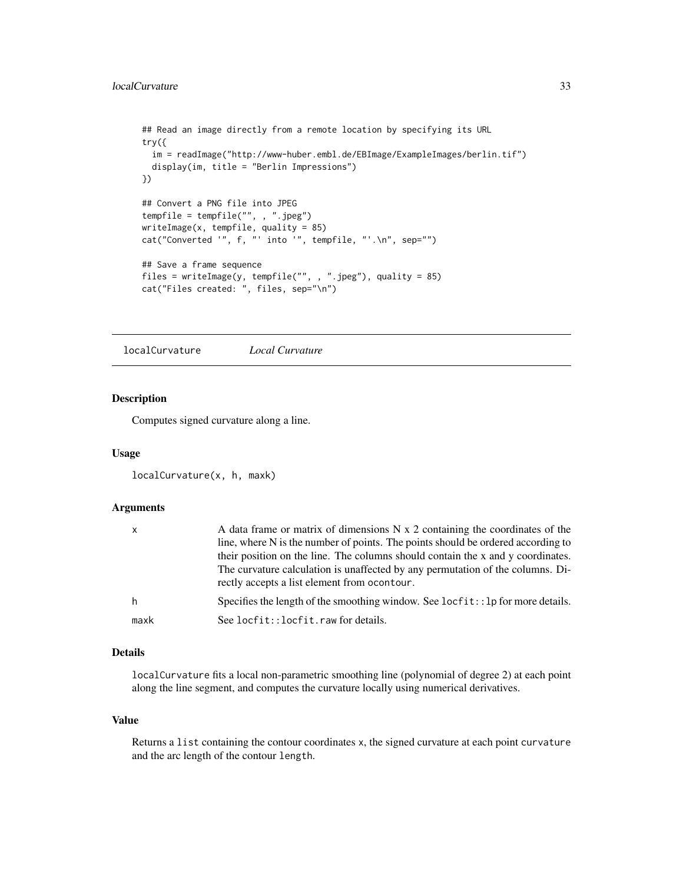```
## Read an image directly from a remote location by specifying its URL
try({
 im = readImage("http://www-huber.embl.de/EBImage/ExampleImages/berlin.tif")
 display(im, title = "Berlin Impressions")
})
## Convert a PNG file into JPEG
tempfile = tempfile("", , ".jpeg")
writeImage(x, tempfile, quality = 85)
cat("Converted '", f, "' into '", tempfile, "'.\n", sep="")
## Save a frame sequence
files = writeImage(y, tempfile("", , ".jpeg"), quality = 85)
cat("Files created: ", files, sep="\n")
```
localCurvature *Local Curvature*

# Description

Computes signed curvature along a line.

#### Usage

```
localCurvature(x, h, maxk)
```
#### Arguments

| $\mathsf{x}$ | A data frame or matrix of dimensions N x 2 containing the coordinates of the<br>line, where N is the number of points. The points should be ordered according to<br>their position on the line. The columns should contain the x and y coordinates.<br>The curvature calculation is unaffected by any permutation of the columns. Di-<br>rectly accepts a list element from ocontour. |
|--------------|---------------------------------------------------------------------------------------------------------------------------------------------------------------------------------------------------------------------------------------------------------------------------------------------------------------------------------------------------------------------------------------|
| h            | Specifies the length of the smoothing window. See $locfit$ : :1p for more details.                                                                                                                                                                                                                                                                                                    |
| maxk         | See locfit::locfit.raw for details.                                                                                                                                                                                                                                                                                                                                                   |

# Details

localCurvature fits a local non-parametric smoothing line (polynomial of degree 2) at each point along the line segment, and computes the curvature locally using numerical derivatives.

#### Value

Returns a list containing the contour coordinates x, the signed curvature at each point curvature and the arc length of the contour length.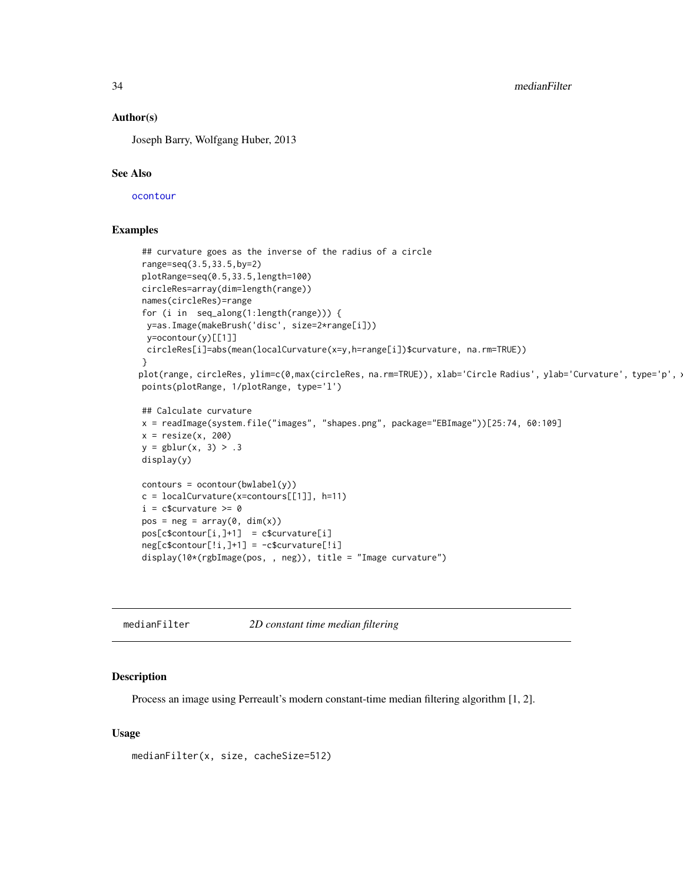<span id="page-33-0"></span>34 medianFilter

#### Author(s)

Joseph Barry, Wolfgang Huber, 2013

#### See Also

[ocontour](#page-38-1)

# Examples

```
## curvature goes as the inverse of the radius of a circle
range=seq(3.5,33.5,by=2)
plotRange=seq(0.5,33.5,length=100)
circleRes=array(dim=length(range))
names(circleRes)=range
for (i in seq_along(1:length(range))) {
 y=as.Image(makeBrush('disc', size=2*range[i]))
 y=ocontour(y)[[1]]
 circleRes[i]=abs(mean(localCurvature(x=y,h=range[i])$curvature, na.rm=TRUE))
}
plot(range, circleRes, ylim=c(0,max(circleRes, na.rm=TRUE)), xlab='Circle Radius', ylab='Curvature', type='p', :
points(plotRange, 1/plotRange, type='l')
## Calculate curvature
x = readImage(system.file("images", "shapes.png", package="EBImage"))[25:74, 60:109]
x = \text{resize}(x, 200)y = gblur(x, 3) > .3display(y)
contours = ocontour(bwlabel(y))c = localCurvature(x=contours[[1]], h=11)i = c$curvature >= 0
pos = neg = array(0, dim(x))pos[c$contour[i, ]+1] = c$curvature[i]neg[c$contour[:i,]+1] = -c$curvature[:i]display(10*(rgbImage(pos, , neg)), title = "Image curvature")
```
medianFilter *2D constant time median filtering*

#### **Description**

Process an image using Perreault's modern constant-time median filtering algorithm [1, 2].

#### Usage

medianFilter(x, size, cacheSize=512)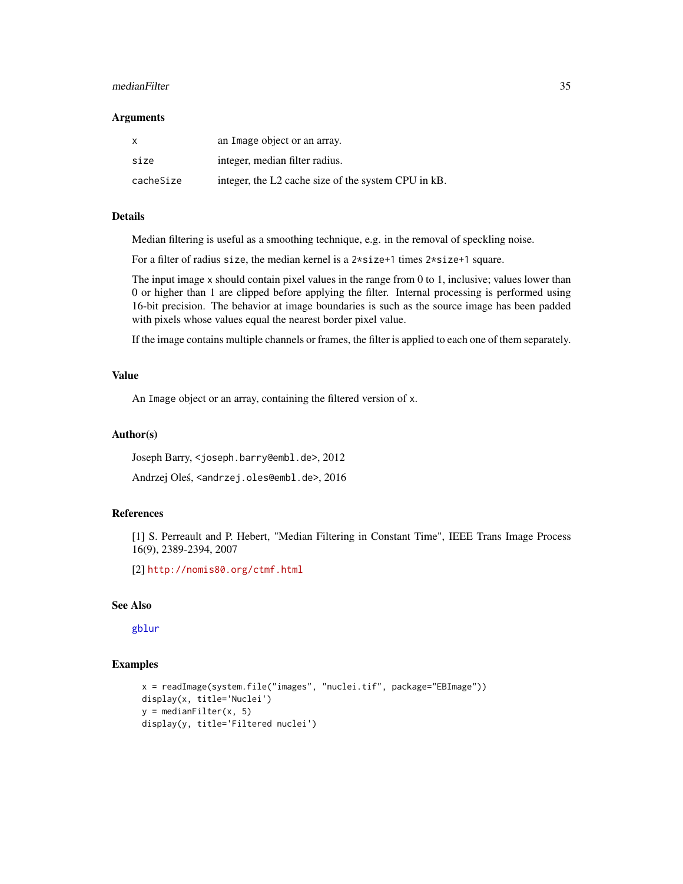#### <span id="page-34-0"></span>medianFilter 35

#### **Arguments**

| $\mathsf{x}$ | an Image object or an array.                        |
|--------------|-----------------------------------------------------|
| size         | integer, median filter radius.                      |
| cacheSize    | integer, the L2 cache size of the system CPU in kB. |

# Details

Median filtering is useful as a smoothing technique, e.g. in the removal of speckling noise.

For a filter of radius size, the median kernel is a 2\*size+1 times 2\*size+1 square.

The input image x should contain pixel values in the range from 0 to 1, inclusive; values lower than 0 or higher than 1 are clipped before applying the filter. Internal processing is performed using 16-bit precision. The behavior at image boundaries is such as the source image has been padded with pixels whose values equal the nearest border pixel value.

If the image contains multiple channels or frames, the filter is applied to each one of them separately.

# Value

An Image object or an array, containing the filtered version of x.

#### Author(s)

Joseph Barry, <joseph.barry@embl.de>, 2012

Andrzej Oleś, <andrzej.oles@embl.de>, 2016

# References

[1] S. Perreault and P. Hebert, "Median Filtering in Constant Time", IEEE Trans Image Process 16(9), 2389-2394, 2007

[2] <http://nomis80.org/ctmf.html>

# See Also

[gblur](#page-27-1)

```
x = readImage(system.file("images", "nuclei.tif", package="EBImage"))
display(x, title='Nuclei')
y = medianFilter(x, 5)display(y, title='Filtered nuclei')
```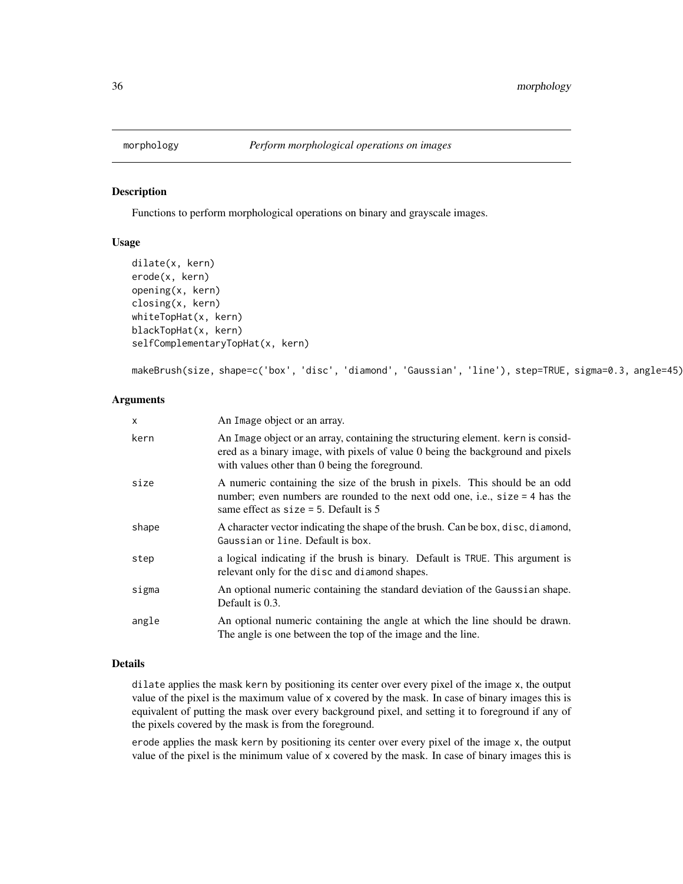<span id="page-35-1"></span><span id="page-35-0"></span>

Functions to perform morphological operations on binary and grayscale images.

# Usage

```
dilate(x, kern)
erode(x, kern)
opening(x, kern)
closing(x, kern)
whiteTopHat(x, kern)
blackTopHat(x, kern)
selfComplementaryTopHat(x, kern)
```
makeBrush(size, shape=c('box', 'disc', 'diamond', 'Gaussian', 'line'), step=TRUE, sigma=0.3, angle=45)

# Arguments

| $\mathsf{x}$ | An Image object or an array.                                                                                                                                                                                             |
|--------------|--------------------------------------------------------------------------------------------------------------------------------------------------------------------------------------------------------------------------|
| kern         | An Image object or an array, containing the structuring element. Kern is considerate<br>ered as a binary image, with pixels of value 0 being the background and pixels<br>with values other than 0 being the foreground. |
| size         | A numeric containing the size of the brush in pixels. This should be an odd<br>number; even numbers are rounded to the next odd one, i.e., size = 4 has the<br>same effect as $size = 5$ . Default is 5                  |
| shape        | A character vector indicating the shape of the brush. Can be box, disc, diamond,<br>Gaussian or line. Default is box.                                                                                                    |
| step         | a logical indicating if the brush is binary. Default is TRUE. This argument is<br>relevant only for the disc and diamond shapes.                                                                                         |
| sigma        | An optional numeric containing the standard deviation of the Gaussian shape.<br>Default is 0.3.                                                                                                                          |
| angle        | An optional numeric containing the angle at which the line should be drawn.<br>The angle is one between the top of the image and the line.                                                                               |

# Details

dilate applies the mask kern by positioning its center over every pixel of the image x, the output value of the pixel is the maximum value of x covered by the mask. In case of binary images this is equivalent of putting the mask over every background pixel, and setting it to foreground if any of the pixels covered by the mask is from the foreground.

erode applies the mask kern by positioning its center over every pixel of the image x, the output value of the pixel is the minimum value of x covered by the mask. In case of binary images this is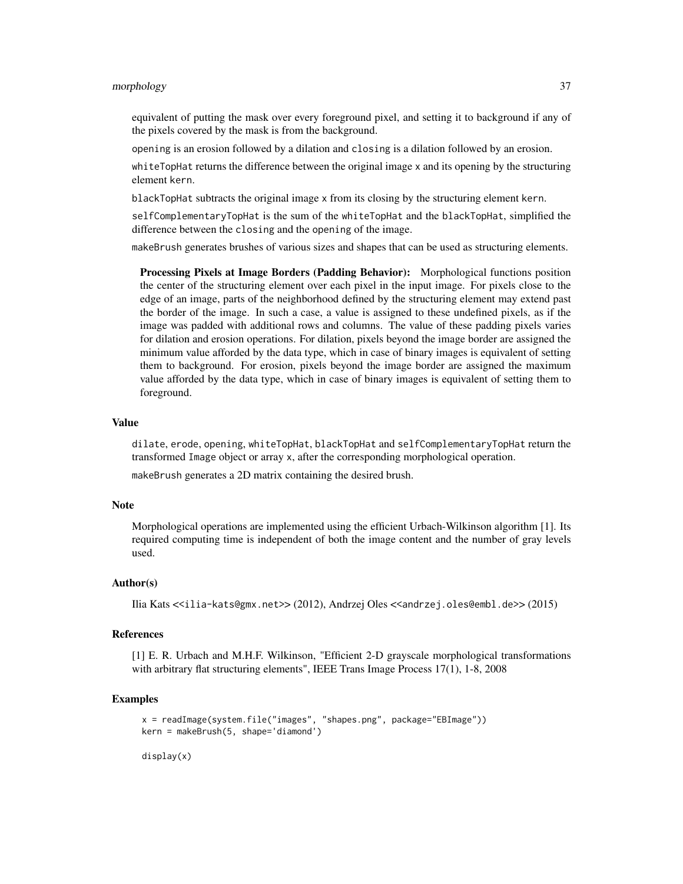#### morphology 37

equivalent of putting the mask over every foreground pixel, and setting it to background if any of the pixels covered by the mask is from the background.

opening is an erosion followed by a dilation and closing is a dilation followed by an erosion.

whiteTopHat returns the difference between the original image x and its opening by the structuring element kern.

blackTopHat subtracts the original image x from its closing by the structuring element kern.

selfComplementaryTopHat is the sum of the whiteTopHat and the blackTopHat, simplified the difference between the closing and the opening of the image.

makeBrush generates brushes of various sizes and shapes that can be used as structuring elements.

Processing Pixels at Image Borders (Padding Behavior): Morphological functions position the center of the structuring element over each pixel in the input image. For pixels close to the edge of an image, parts of the neighborhood defined by the structuring element may extend past the border of the image. In such a case, a value is assigned to these undefined pixels, as if the image was padded with additional rows and columns. The value of these padding pixels varies for dilation and erosion operations. For dilation, pixels beyond the image border are assigned the minimum value afforded by the data type, which in case of binary images is equivalent of setting them to background. For erosion, pixels beyond the image border are assigned the maximum value afforded by the data type, which in case of binary images is equivalent of setting them to foreground.

# Value

dilate, erode, opening, whiteTopHat, blackTopHat and selfComplementaryTopHat return the transformed Image object or array x, after the corresponding morphological operation.

makeBrush generates a 2D matrix containing the desired brush.

#### Note

Morphological operations are implemented using the efficient Urbach-Wilkinson algorithm [1]. Its required computing time is independent of both the image content and the number of gray levels used.

#### Author(s)

```
Ilia Kats <<ilia-kats@gmx.net>> (2012), Andrzej Oles <<andrzej.oles@embl.de>> (2015)
```
#### References

[1] E. R. Urbach and M.H.F. Wilkinson, "Efficient 2-D grayscale morphological transformations with arbitrary flat structuring elements", IEEE Trans Image Process 17(1), 1-8, 2008

#### Examples

```
x = readImage(system.file("images", "shapes.png", package="EBImage"))
kern = makeBrush(5, shape='diamond')
```
display(x)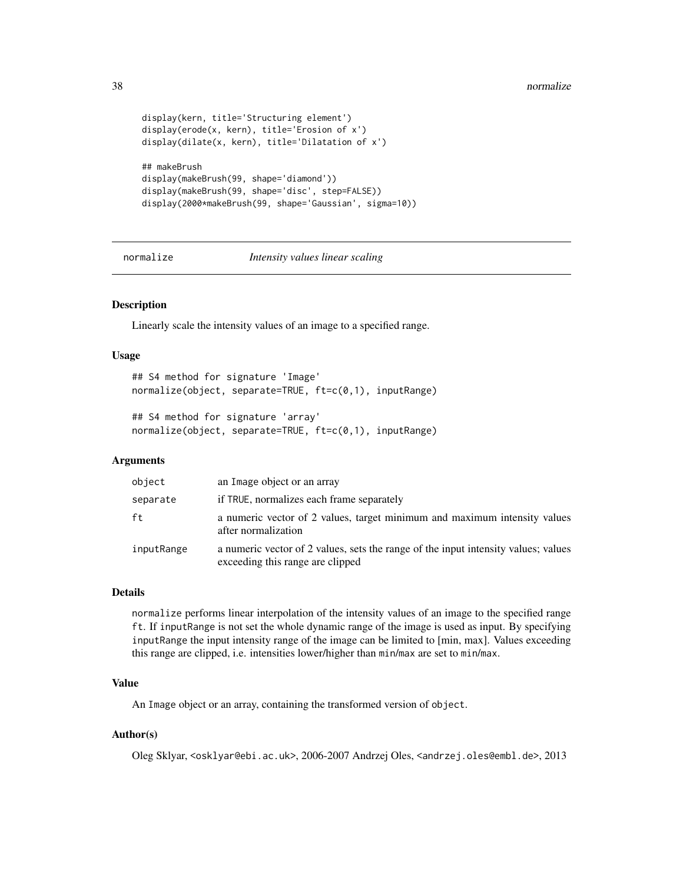```
display(kern, title='Structuring element')
display(erode(x, kern), title='Erosion of x')
display(dilate(x, kern), title='Dilatation of x')
## makeBrush
display(makeBrush(99, shape='diamond'))
display(makeBrush(99, shape='disc', step=FALSE))
display(2000*makeBrush(99, shape='Gaussian', sigma=10))
```
<span id="page-37-1"></span>normalize *Intensity values linear scaling*

# Description

Linearly scale the intensity values of an image to a specified range.

#### Usage

```
## S4 method for signature 'Image'
normalize(object, separate=TRUE, ft=c(0,1), inputRange)
```

```
## S4 method for signature 'array'
normalize(object, separate=TRUE, ft=c(0,1), inputRange)
```
# Arguments

| object     | an Image object or an array                                                                                            |
|------------|------------------------------------------------------------------------------------------------------------------------|
| separate   | if TRUE, normalizes each frame separately                                                                              |
| ft         | a numeric vector of 2 values, target minimum and maximum intensity values<br>after normalization                       |
| inputRange | a numeric vector of 2 values, sets the range of the input intensity values; values<br>exceeding this range are clipped |

#### Details

normalize performs linear interpolation of the intensity values of an image to the specified range ft. If inputRange is not set the whole dynamic range of the image is used as input. By specifying inputRange the input intensity range of the image can be limited to [min, max]. Values exceeding this range are clipped, i.e. intensities lower/higher than min/max are set to min/max.

#### Value

An Image object or an array, containing the transformed version of object.

#### Author(s)

Oleg Sklyar, <osklyar@ebi.ac.uk>, 2006-2007 Andrzej Oles, <andrzej.oles@embl.de>, 2013

<span id="page-37-0"></span>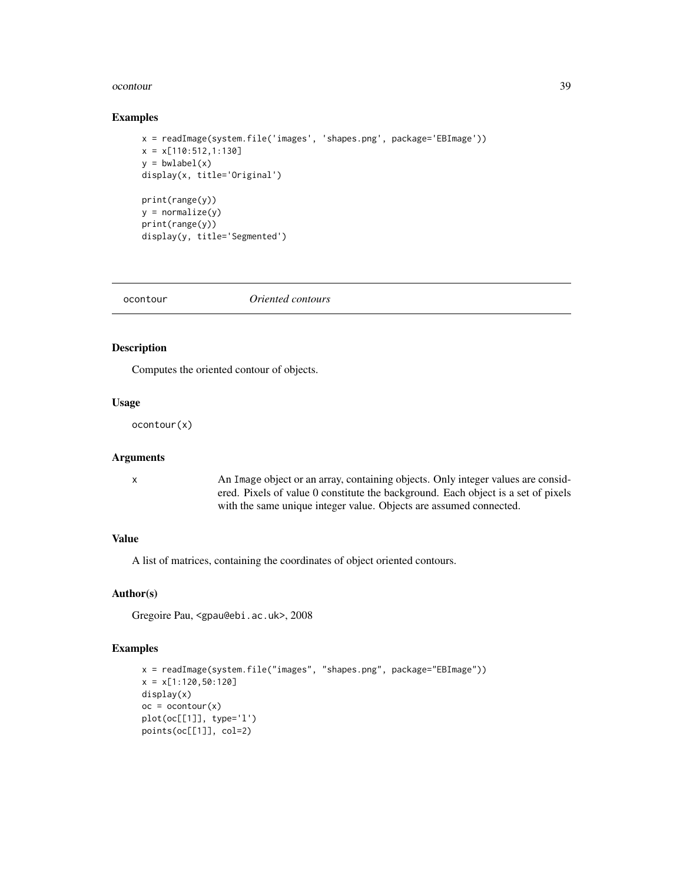#### <span id="page-38-0"></span>ocontour 39

#### Examples

```
x = readImage(system.file('images', 'shapes.png', package='EBImage'))
x = x[110:512,1:130]
y = bwlabel(x)display(x, title='Original')
print(range(y))
y = normalize(y)print(range(y))
display(y, title='Segmented')
```
<span id="page-38-1"></span>ocontour *Oriented contours*

# Description

Computes the oriented contour of objects.

# Usage

ocontour(x)

#### Arguments

x An Image object or an array, containing objects. Only integer values are considered. Pixels of value 0 constitute the background. Each object is a set of pixels with the same unique integer value. Objects are assumed connected.

#### Value

A list of matrices, containing the coordinates of object oriented contours.

# Author(s)

Gregoire Pau, <gpau@ebi.ac.uk>, 2008

```
x = readImage(system.file("images", "shapes.png", package="EBImage"))
x = x[1:120,50:120]
display(x)
oc = ocontour(x)plot(oc[[1]], type='l')
points(oc[[1]], col=2)
```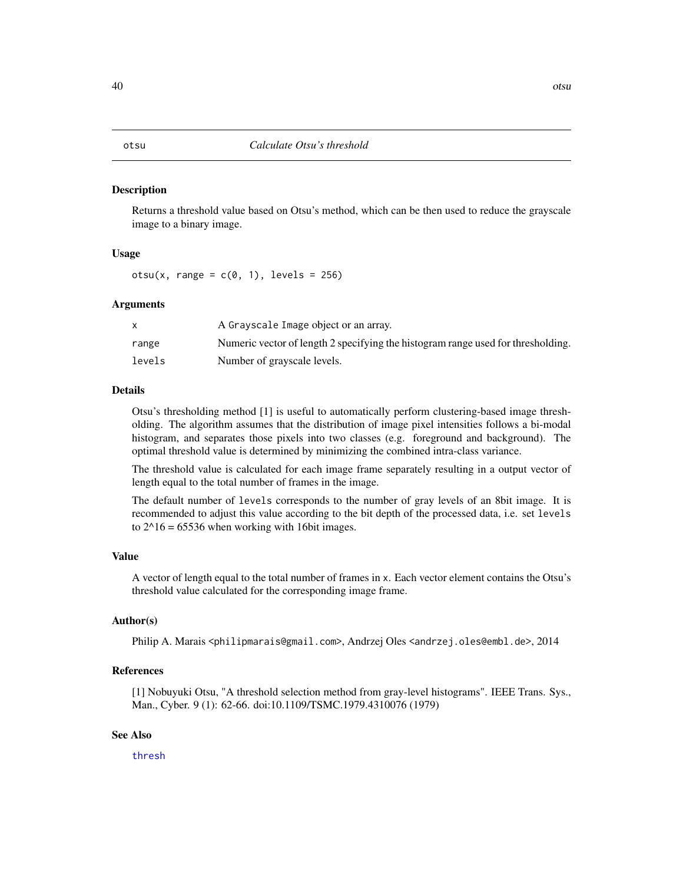<span id="page-39-0"></span>Returns a threshold value based on Otsu's method, which can be then used to reduce the grayscale image to a binary image.

#### Usage

otsu(x, range =  $c(0, 1)$ , levels = 256)

#### **Arguments**

|        | A Grayscale Image object or an array.                                            |
|--------|----------------------------------------------------------------------------------|
| range  | Numeric vector of length 2 specifying the histogram range used for thresholding. |
| levels | Number of grayscale levels.                                                      |

## Details

Otsu's thresholding method [1] is useful to automatically perform clustering-based image thresholding. The algorithm assumes that the distribution of image pixel intensities follows a bi-modal histogram, and separates those pixels into two classes (e.g. foreground and background). The optimal threshold value is determined by minimizing the combined intra-class variance.

The threshold value is calculated for each image frame separately resulting in a output vector of length equal to the total number of frames in the image.

The default number of levels corresponds to the number of gray levels of an 8bit image. It is recommended to adjust this value according to the bit depth of the processed data, i.e. set levels to  $2^{\text{A}}16 = 65536$  when working with 16bit images.

#### Value

A vector of length equal to the total number of frames in x. Each vector element contains the Otsu's threshold value calculated for the corresponding image frame.

# Author(s)

Philip A. Marais <philipmarais@gmail.com>, Andrzej Oles <andrzej.oles@embl.de>, 2014

#### References

[1] Nobuyuki Otsu, "A threshold selection method from gray-level histograms". IEEE Trans. Sys., Man., Cyber. 9 (1): 62-66. doi:10.1109/TSMC.1979.4310076 (1979)

# See Also

[thresh](#page-48-1)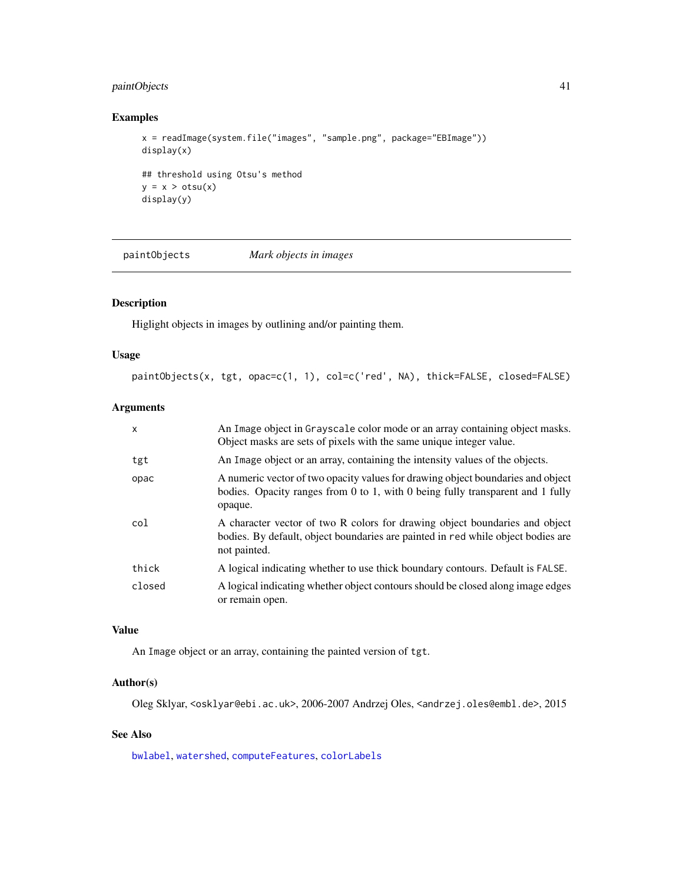# <span id="page-40-0"></span>paintObjects 41

# Examples

```
x = readImage(system.file("images", "sample.png", package="EBImage"))
display(x)
## threshold using Otsu's method
y = x > otsu(x)display(y)
```
<span id="page-40-1"></span>paintObjects *Mark objects in images*

# Description

Higlight objects in images by outlining and/or painting them.

# Usage

```
paintObjects(x, tgt, opac=c(1, 1), col=c('red', NA), thick=FALSE, closed=FALSE)
```
# Arguments

| $\boldsymbol{\mathsf{x}}$ | An Image object in Grayscale color mode or an array containing object masks.<br>Object masks are sets of pixels with the same unique integer value.                             |
|---------------------------|---------------------------------------------------------------------------------------------------------------------------------------------------------------------------------|
| tgt                       | An Image object or an array, containing the intensity values of the objects.                                                                                                    |
| opac                      | A numeric vector of two opacity values for drawing object boundaries and object<br>bodies. Opacity ranges from 0 to 1, with 0 being fully transparent and 1 fully<br>opaque.    |
| col                       | A character vector of two R colors for drawing object boundaries and object<br>bodies. By default, object boundaries are painted in red while object bodies are<br>not painted. |
| thick                     | A logical indicating whether to use thick boundary contours. Default is FALSE.                                                                                                  |
| closed                    | A logical indicating whether object contours should be closed along image edges<br>or remain open.                                                                              |

# Value

An Image object or an array, containing the painted version of tgt.

# Author(s)

Oleg Sklyar, <osklyar@ebi.ac.uk>, 2006-2007 Andrzej Oles, <andrzej.oles@embl.de>, 2015

# See Also

[bwlabel](#page-3-1), [watershed](#page-51-1), [computeFeatures](#page-10-1), [colorLabels](#page-7-1)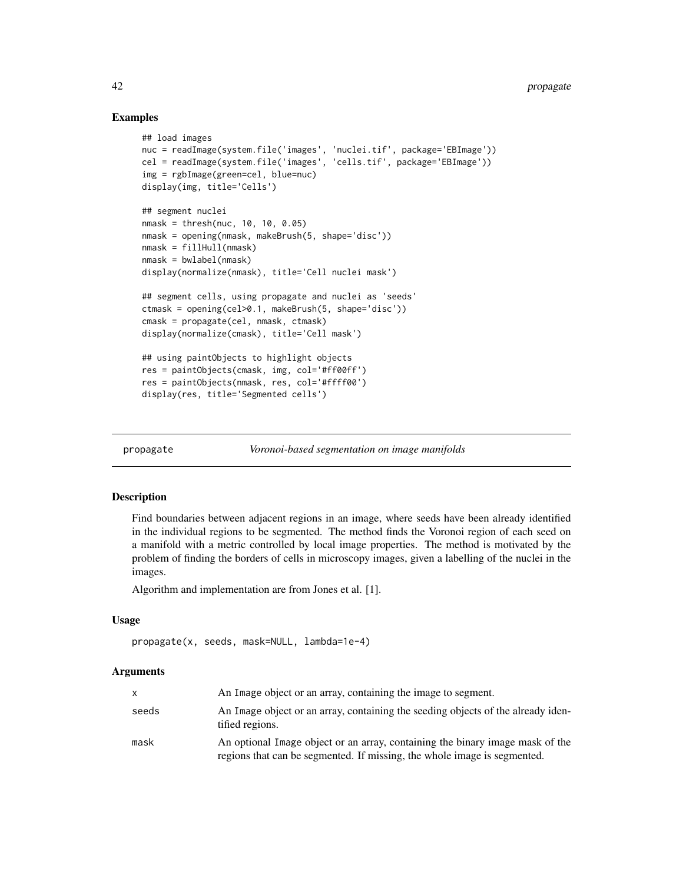# Examples

```
## load images
nuc = readImage(system.file('images', 'nuclei.tif', package='EBImage'))
cel = readImage(system.file('images', 'cells.tif', package='EBImage'))
img = rgbImage(green=cel, blue=nuc)
display(img, title='Cells')
## segment nuclei
nmask = thresh(nuc, 10, 10, 0.05)
nmask = opening(nmask, makeBrush(5, shape='disc'))
nmask = fillHull(nmask)
nmask = bwlabel(nmask)
display(normalize(nmask), title='Cell nuclei mask')
## segment cells, using propagate and nuclei as 'seeds'
ctmask = opening(cel>0.1, makeBrush(5, shape='disc'))
cmask = propagate(cel, nmask, ctmask)
display(normalize(cmask), title='Cell mask')
## using paintObjects to highlight objects
res = paintObjects(cmask, img, col='#ff00ff')
res = paintObjects(nmask, res, col='#ffff00')
display(res, title='Segmented cells')
```
<span id="page-41-1"></span>propagate *Voronoi-based segmentation on image manifolds*

# Description

Find boundaries between adjacent regions in an image, where seeds have been already identified in the individual regions to be segmented. The method finds the Voronoi region of each seed on a manifold with a metric controlled by local image properties. The method is motivated by the problem of finding the borders of cells in microscopy images, given a labelling of the nuclei in the images.

Algorithm and implementation are from Jones et al. [1].

# Usage

```
propagate(x, seeds, mask=NULL, lambda=1e-4)
```
#### Arguments

|       | An Image object or an array, containing the image to segment.                                                                                             |
|-------|-----------------------------------------------------------------------------------------------------------------------------------------------------------|
| seeds | An Image object or an array, containing the seeding objects of the already iden-<br>tified regions.                                                       |
| mask  | An optional Image object or an array, containing the binary image mask of the<br>regions that can be segmented. If missing, the whole image is segmented. |

<span id="page-41-0"></span>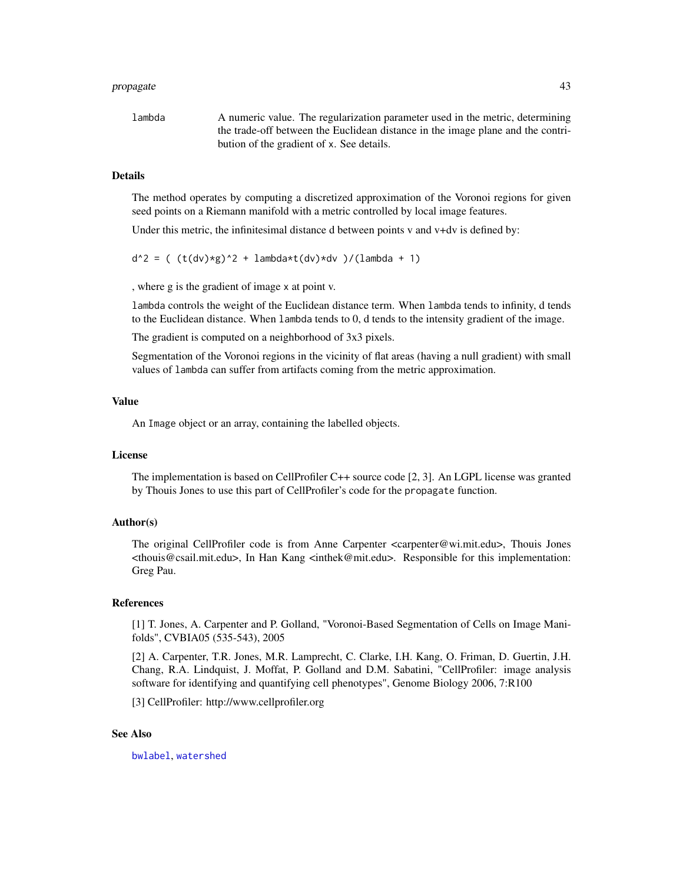#### <span id="page-42-0"></span>propagate and the set of the set of the set of the set of the set of the set of the set of the set of the set of the set of the set of the set of the set of the set of the set of the set of the set of the set of the set of

lambda A numeric value. The regularization parameter used in the metric, determining the trade-off between the Euclidean distance in the image plane and the contribution of the gradient of x. See details.

#### Details

The method operates by computing a discretized approximation of the Voronoi regions for given seed points on a Riemann manifold with a metric controlled by local image features.

Under this metric, the infinitesimal distance d between points v and v+dv is defined by:

 $d^2 = ( (t(dv)*g)^2 + lambda*t(dv)*dv )/(lambda + 1)$ 

, where g is the gradient of image x at point v.

lambda controls the weight of the Euclidean distance term. When lambda tends to infinity, d tends to the Euclidean distance. When lambda tends to 0, d tends to the intensity gradient of the image.

The gradient is computed on a neighborhood of 3x3 pixels.

Segmentation of the Voronoi regions in the vicinity of flat areas (having a null gradient) with small values of lambda can suffer from artifacts coming from the metric approximation.

#### Value

An Image object or an array, containing the labelled objects.

# License

The implementation is based on CellProfiler C++ source code [2, 3]. An LGPL license was granted by Thouis Jones to use this part of CellProfiler's code for the propagate function.

## Author(s)

The original CellProfiler code is from Anne Carpenter <carpenter@wi.mit.edu>, Thouis Jones <thouis@csail.mit.edu>, In Han Kang <inthek@mit.edu>. Responsible for this implementation: Greg Pau.

#### References

[1] T. Jones, A. Carpenter and P. Golland, "Voronoi-Based Segmentation of Cells on Image Manifolds", CVBIA05 (535-543), 2005

[2] A. Carpenter, T.R. Jones, M.R. Lamprecht, C. Clarke, I.H. Kang, O. Friman, D. Guertin, J.H. Chang, R.A. Lindquist, J. Moffat, P. Golland and D.M. Sabatini, "CellProfiler: image analysis software for identifying and quantifying cell phenotypes", Genome Biology 2006, 7:R100

[3] CellProfiler: http://www.cellprofiler.org

#### See Also

[bwlabel](#page-3-1), [watershed](#page-51-1)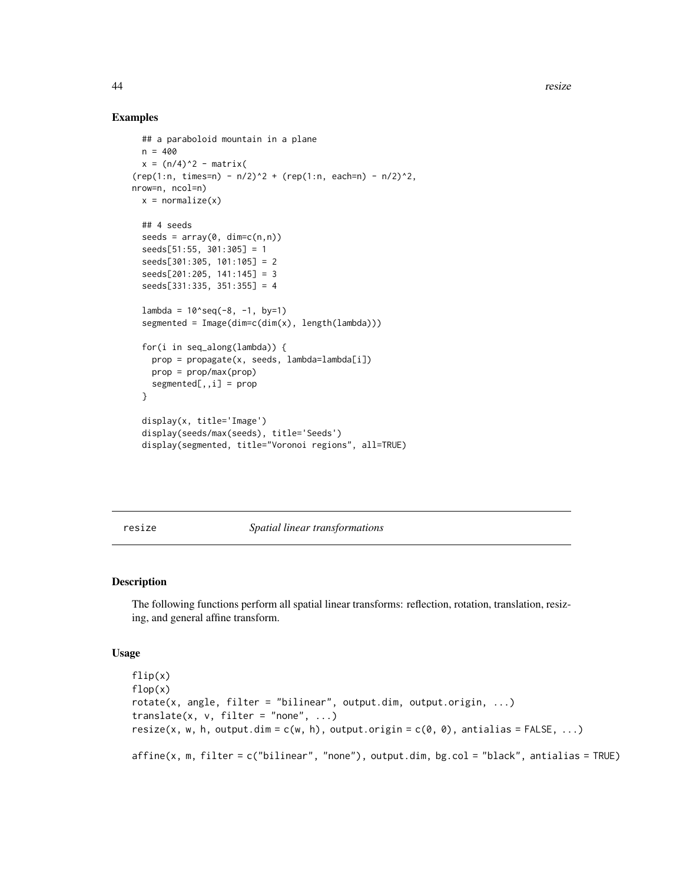44 resize

# Examples

```
## a paraboloid mountain in a plane
 n = 400x = (n/4)^2 - matrix(
(rep(1:n, times=n) - n/2)^2 + (rep(1:n, each=n) - n/2)^2,nrow=n, ncol=n)
 x = normalize(x)## 4 seeds
 seeds = array(0, dim=c(n,n))seeds[51:55, 301:305] = 1
 seeds[301:305, 101:105] = 2
 seeds[201:205, 141:145] = 3
 seeds[331:335, 351:355] = 4
 lambda = 10^seq(-8, -1, by=1)
 segmented = Image(dim=c(dim(x), length(lambda)))for(i in seq_along(lambda)) {
   prop = propagate(x, seeds, lambda=lambda[i])
   prop = prop/max(prop)
   segmented[, , i] = prop}
 display(x, title='Image')
 display(seeds/max(seeds), title='Seeds')
 display(segmented, title="Voronoi regions", all=TRUE)
```
resize *Spatial linear transformations*

#### <span id="page-43-1"></span>Description

The following functions perform all spatial linear transforms: reflection, rotation, translation, resizing, and general affine transform.

#### Usage

```
flip(x)
flop(x)
rotate(x, angle, filter = "bilinear", output.dim, output.origin, ...)translate(x, v, filter = "none", ...)
resize(x, w, h, output.dim = c(w, h), output.origin = c(0, 0), antialias = FALSE, ...)
affine(x, m, filter = c("bilinear", "none"), output.dim, bg,col = "black", antialias = TRUE)
```
<span id="page-43-0"></span>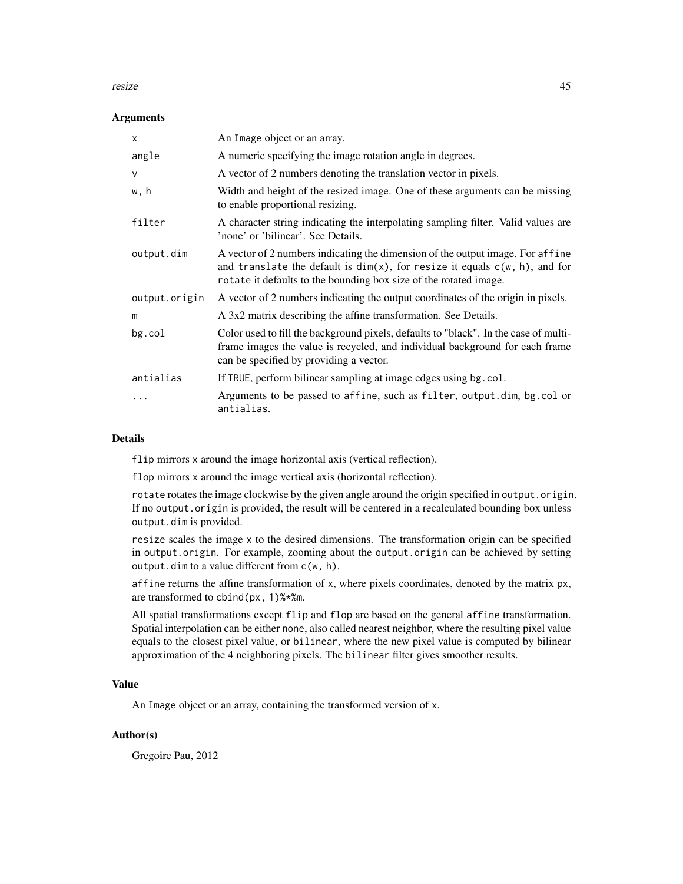#### resize that the contract of the contract of the contract of the contract of the contract of the contract of the contract of the contract of the contract of the contract of the contract of the contract of the contract of th

#### **Arguments**

| $\mathsf{x}$  | An Image object or an array.                                                                                                                                                                                                            |
|---------------|-----------------------------------------------------------------------------------------------------------------------------------------------------------------------------------------------------------------------------------------|
| angle         | A numeric specifying the image rotation angle in degrees.                                                                                                                                                                               |
| $\mathsf{V}$  | A vector of 2 numbers denoting the translation vector in pixels.                                                                                                                                                                        |
| w, h          | Width and height of the resized image. One of these arguments can be missing<br>to enable proportional resizing.                                                                                                                        |
| filter        | A character string indicating the interpolating sampling filter. Valid values are<br>'none' or 'bilinear'. See Details.                                                                                                                 |
| output.dim    | A vector of 2 numbers indicating the dimension of the output image. For affine<br>and translate the default is $dim(x)$ , for resize it equals $c(w, h)$ , and for<br>rotate it defaults to the bounding box size of the rotated image. |
| output.origin | A vector of 2 numbers indicating the output coordinates of the origin in pixels.                                                                                                                                                        |
| m             | A 3x2 matrix describing the affine transformation. See Details.                                                                                                                                                                         |
| $bg$ .col     | Color used to fill the background pixels, defaults to "black". In the case of multi-<br>frame images the value is recycled, and individual background for each frame<br>can be specified by providing a vector.                         |
| antialias     | If TRUE, perform bilinear sampling at image edges using bg.col.                                                                                                                                                                         |
| $\ddotsc$     | Arguments to be passed to affine, such as filter, output.dim, bg.col or<br>antialias.                                                                                                                                                   |

#### Details

flip mirrors x around the image horizontal axis (vertical reflection).

flop mirrors x around the image vertical axis (horizontal reflection).

rotate rotates the image clockwise by the given angle around the origin specified in output.origin. If no output.origin is provided, the result will be centered in a recalculated bounding box unless output.dim is provided.

resize scales the image x to the desired dimensions. The transformation origin can be specified in output.origin. For example, zooming about the output.origin can be achieved by setting output.dim to a value different from c(w, h).

affine returns the affine transformation of x, where pixels coordinates, denoted by the matrix px, are transformed to cbind(px, 1)%\*%m.

All spatial transformations except flip and flop are based on the general affine transformation. Spatial interpolation can be either none, also called nearest neighbor, where the resulting pixel value equals to the closest pixel value, or bilinear, where the new pixel value is computed by bilinear approximation of the 4 neighboring pixels. The bilinear filter gives smoother results.

# Value

An Image object or an array, containing the transformed version of x.

# Author(s)

Gregoire Pau, 2012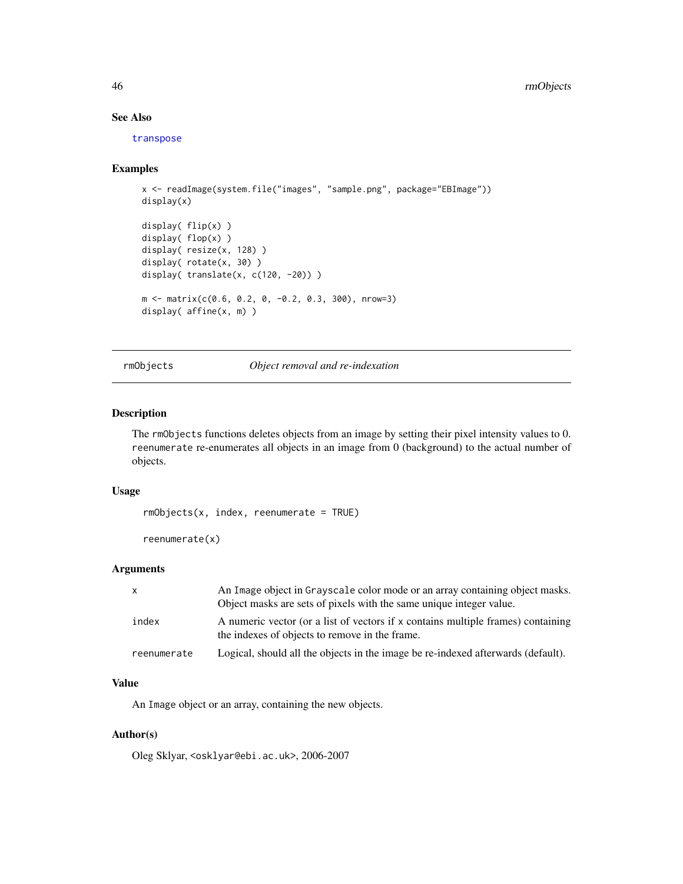# See Also

[transpose](#page-50-1)

#### Examples

```
x <- readImage(system.file("images", "sample.png", package="EBImage"))
display(x)
display( flip(x) )
display( flop(x) )
display( resize(x, 128) )
display( rotate(x, 30) )
display( translate(x, c(120, -20)) )
m <- matrix(c(0.6, 0.2, 0, -0.2, 0.3, 300), nrow=3)
display( affine(x, m) )
```
rmObjects *Object removal and re-indexation*

# Description

The rmObjects functions deletes objects from an image by setting their pixel intensity values to 0. reenumerate re-enumerates all objects in an image from 0 (background) to the actual number of objects.

# Usage

 $rmObjects(x, index, reenumerate = TRUE)$ 

reenumerate(x)

# Arguments

| x           | An Image object in Grayscale color mode or an array containing object masks.<br>Object masks are sets of pixels with the same unique integer value. |
|-------------|-----------------------------------------------------------------------------------------------------------------------------------------------------|
| index       | A numeric vector (or a list of vectors if x contains multiple frames) containing<br>the indexes of objects to remove in the frame.                  |
| reenumerate | Logical, should all the objects in the image be re-indexed afterwards (default).                                                                    |

#### Value

An Image object or an array, containing the new objects.

#### Author(s)

Oleg Sklyar, <osklyar@ebi.ac.uk>, 2006-2007

<span id="page-45-0"></span>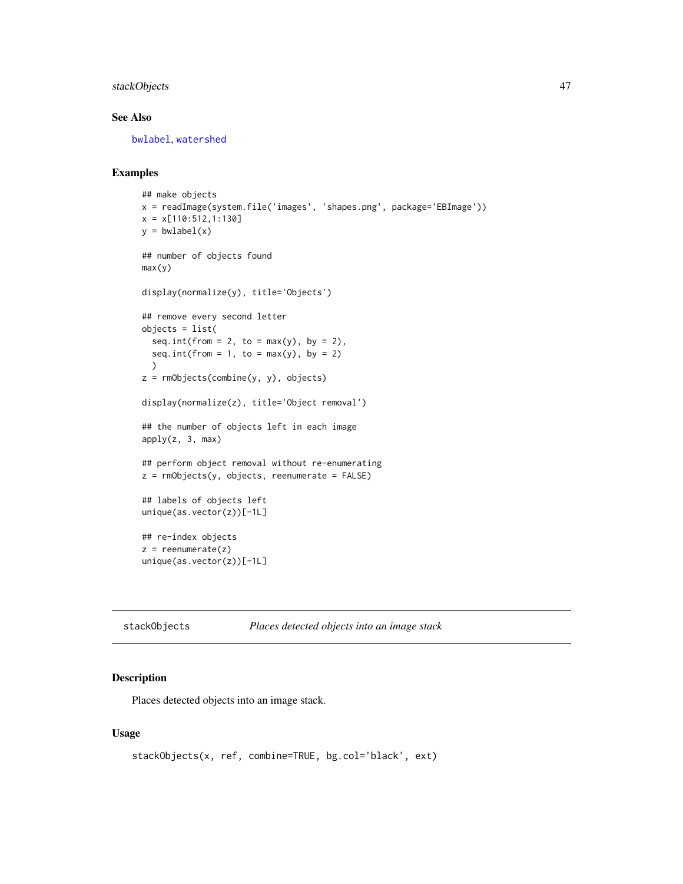# <span id="page-46-0"></span>stackObjects 47

# See Also

[bwlabel](#page-3-1), [watershed](#page-51-1)

# Examples

```
## make objects
x = readImage(system.file('images', 'shapes.png', package='EBImage'))
x = x[110:512, 1:130]y = bwlabel(x)## number of objects found
max(y)
display(normalize(y), title='Objects')
## remove every second letter
objects = list(
 seq.int(from = 2, to = max(y), by = 2),
  seq.int(from = 1, to = max(y), by = 2)
  \lambdaz = rmObjects(combine(y, y), objects)
display(normalize(z), title='Object removal')
## the number of objects left in each image
apply(z, 3, max)## perform object removal without re-enumerating
z = rmObjects(y, objects, reenumerate = FALSE)
## labels of objects left
unique(as.vector(z))[-1L]
## re-index objects
z = reenumerate(z)
unique(as.vector(z))[-1L]
```
<span id="page-46-1"></span>stackObjects *Places detected objects into an image stack*

#### Description

Places detected objects into an image stack.

#### Usage

```
stackObjects(x, ref, combine=TRUE, bg.col='black', ext)
```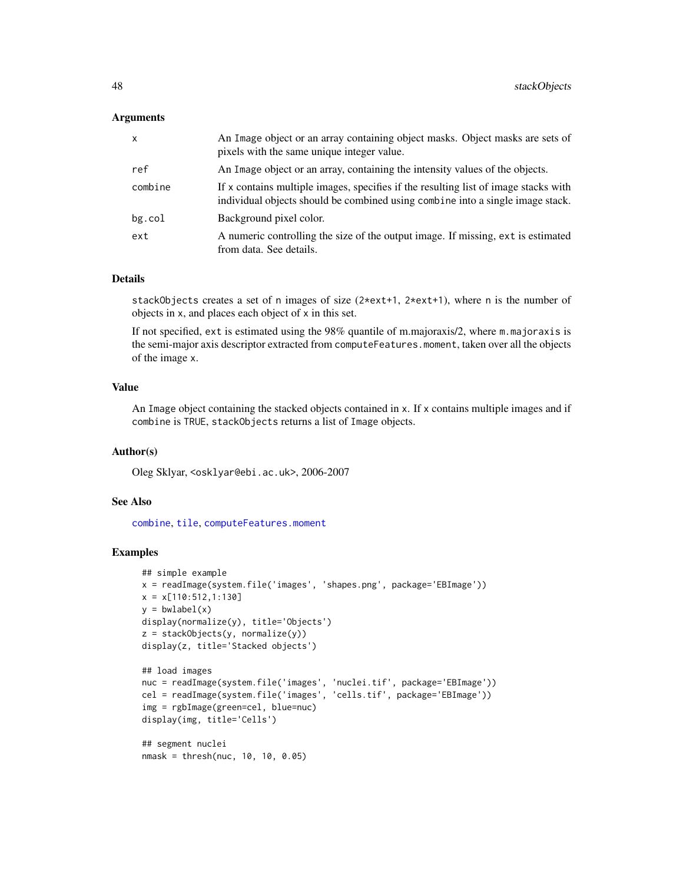#### <span id="page-47-0"></span>**Arguments**

| X         | An Image object or an array containing object masks. Object masks are sets of<br>pixels with the same unique integer value.                                           |
|-----------|-----------------------------------------------------------------------------------------------------------------------------------------------------------------------|
| ref       | An Image object or an array, containing the intensity values of the objects.                                                                                          |
| combine   | If x contains multiple images, specifies if the resulting list of image stacks with<br>individual objects should be combined using combine into a single image stack. |
| $bg$ .col | Background pixel color.                                                                                                                                               |
| ext       | A numeric controlling the size of the output image. If missing, ext is estimated<br>from data. See details.                                                           |

#### Details

stackObjects creates a set of n images of size (2\*ext+1, 2\*ext+1), where n is the number of objects in x, and places each object of x in this set.

If not specified, ext is estimated using the 98% quantile of m.majoraxis/2, where m.majoraxis is the semi-major axis descriptor extracted from computeFeatures.moment, taken over all the objects of the image x.

# Value

An Image object containing the stacked objects contained in x. If x contains multiple images and if combine is TRUE, stackObjects returns a list of Image objects.

#### Author(s)

Oleg Sklyar, <osklyar@ebi.ac.uk>, 2006-2007

# See Also

[combine](#page-9-1), [tile](#page-49-1), [computeFeatures.moment](#page-10-2)

# Examples

```
## simple example
x = readImage(system.file('images', 'shapes.png', package='EBImage'))
x = x[110:512, 1:130]y = bwlabel(x)display(normalize(y), title='Objects')
z = stackObjects(y, normalize(y))
display(z, title='Stacked objects')
## load images
nuc = readImage(system.file('images', 'nuclei.tif', package='EBImage'))
cel = readImage(system.file('images', 'cells.tif', package='EBImage'))
img = rgbImage(green=cel, blue=nuc)
display(img, title='Cells')
## segment nuclei
```
nmask = thresh(nuc, 10, 10, 0.05)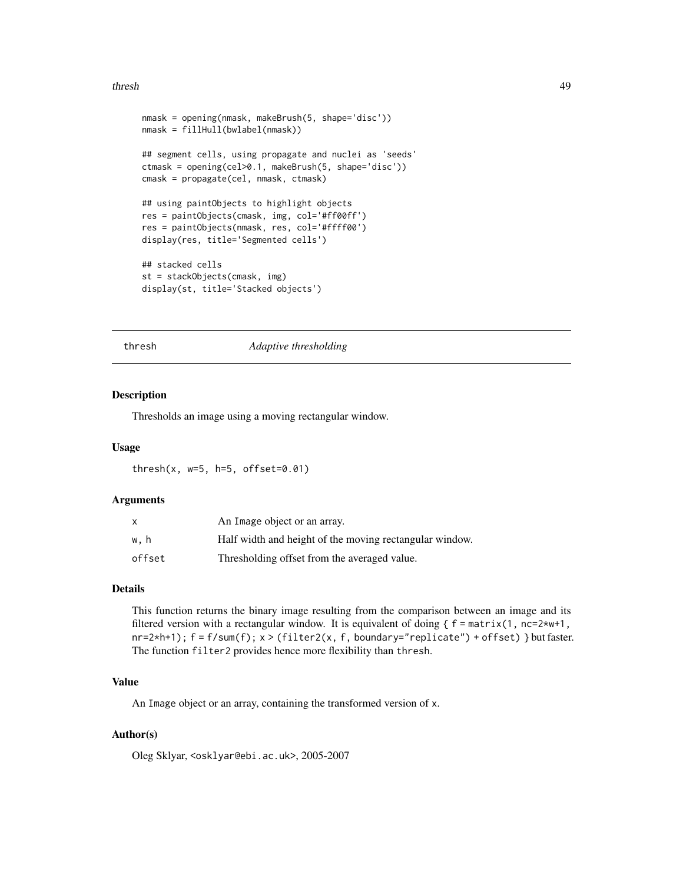#### <span id="page-48-0"></span>thresh 49

```
nmask = opening(nmask, makeBrush(5, shape='disc'))
nmask = fillHull(bwlabel(nmask))
## segment cells, using propagate and nuclei as 'seeds'
ctmask = opening(cel>0.1, makeBrush(5, shape='disc'))
cmask = propagate(cel, nmask, ctmask)
## using paintObjects to highlight objects
res = paintObjects(cmask, img, col='#ff00ff')
res = paintObjects(nmask, res, col='#ffff00')
display(res, title='Segmented cells')
## stacked cells
st = stackObjects(cmask, img)
display(st, title='Stacked objects')
```
#### thresh *Adaptive thresholding*

#### Description

Thresholds an image using a moving rectangular window.

#### Usage

```
thresh(x, w=5, h=5, offset=0.01)
```
#### Arguments

| $\mathsf{x}$ | An Image object or an array.                            |
|--------------|---------------------------------------------------------|
| w.h          | Half width and height of the moving rectangular window. |
| offset       | Thresholding offset from the averaged value.            |

#### Details

This function returns the binary image resulting from the comparison between an image and its filtered version with a rectangular window. It is equivalent of doing  $\{f = matrix(1, nc=2*wt+1,$ nr=2\*h+1); f = f/sum(f); x > (filter2(x, f, boundary="replicate") + offset) } but faster. The function filter2 provides hence more flexibility than thresh.

# Value

An Image object or an array, containing the transformed version of x.

# Author(s)

Oleg Sklyar, <osklyar@ebi.ac.uk>, 2005-2007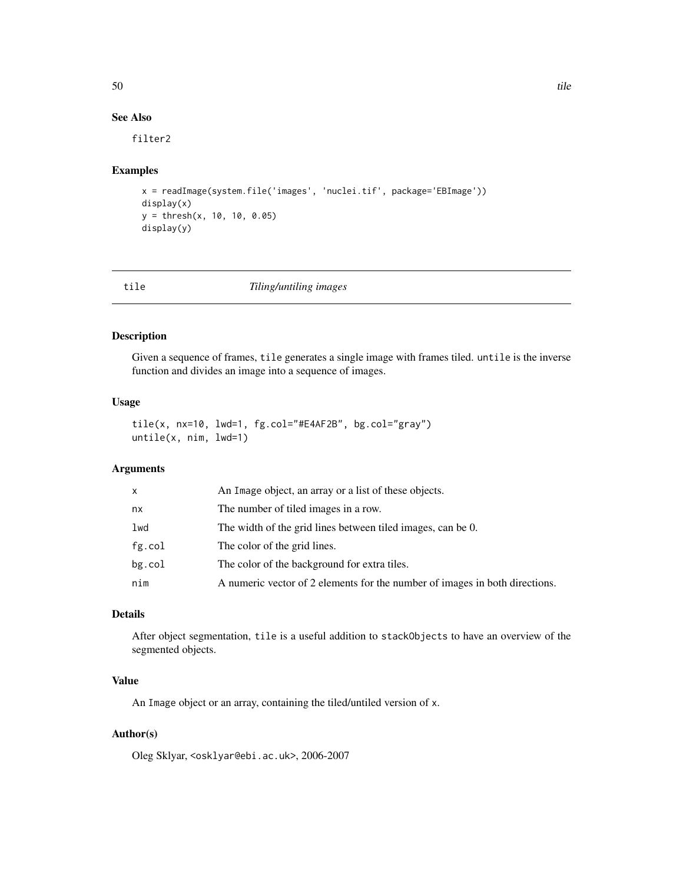# See Also

filter2

#### Examples

```
x = readImage(system.file('images', 'nuclei.tif', package='EBImage'))
display(x)
y = thresh(x, 10, 10, 0.05)
display(y)
```
<span id="page-49-1"></span>

| tile | Tiling/untiling images |  |
|------|------------------------|--|
|------|------------------------|--|

#### Description

Given a sequence of frames, tile generates a single image with frames tiled. untile is the inverse function and divides an image into a sequence of images.

#### Usage

```
tile(x, nx=10, lwd=1, fg.col="#E4AF2B", bg.col="gray")
untile(x, nim, lwd=1)
```
# Arguments

| x         | An Image object, an array or a list of these objects.                       |
|-----------|-----------------------------------------------------------------------------|
| nx        | The number of tiled images in a row.                                        |
| lwd       | The width of the grid lines between tiled images, can be 0.                 |
| fg.col    | The color of the grid lines.                                                |
| $bg$ .col | The color of the background for extra tiles.                                |
| nim       | A numeric vector of 2 elements for the number of images in both directions. |

# Details

After object segmentation, tile is a useful addition to stackObjects to have an overview of the segmented objects.

# Value

An Image object or an array, containing the tiled/untiled version of x.

# Author(s)

Oleg Sklyar, <osklyar@ebi.ac.uk>, 2006-2007

<span id="page-49-0"></span>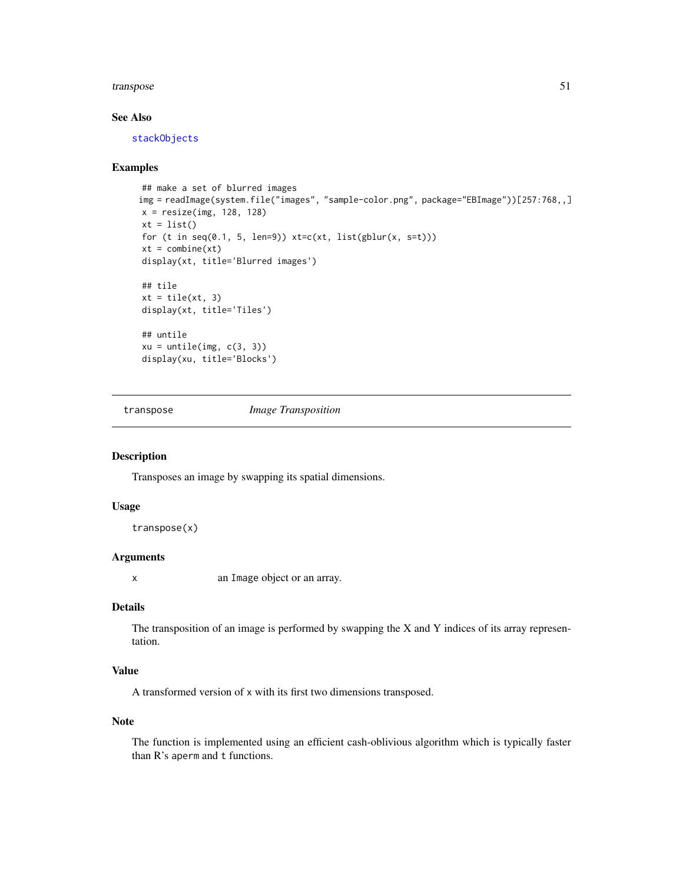#### <span id="page-50-0"></span>transpose 51

# See Also

[stackObjects](#page-46-1)

#### Examples

```
## make a set of blurred images
img = readImage(system.file("images", "sample-color.png", package="EBImage"))[257:768,,]
x = \text{resize}(\text{img}, 128, 128)xt = list()for (t in seq(0.1, 5, len=9)) xt=c(xt, list(gblur(x, s=t)))xt = combine(xt)display(xt, title='Blurred images')
## tile
xt = tile(xt, 3)display(xt, title='Tiles')
## untile
xu = unitile(img, c(3, 3))display(xu, title='Blocks')
```
<span id="page-50-1"></span>

transpose *Image Transposition*

# Description

Transposes an image by swapping its spatial dimensions.

#### Usage

transpose(x)

#### Arguments

x an Image object or an array.

# Details

The transposition of an image is performed by swapping the X and Y indices of its array representation.

# Value

A transformed version of x with its first two dimensions transposed.

#### Note

The function is implemented using an efficient cash-oblivious algorithm which is typically faster than R's aperm and t functions.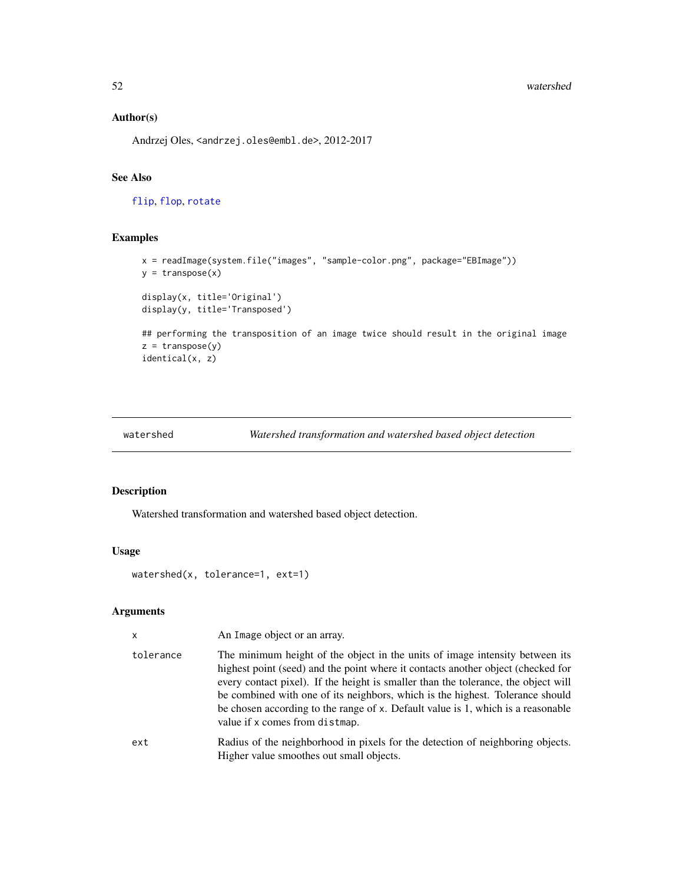#### 52 watershed

# Author(s)

Andrzej Oles, <andrzej.oles@embl.de>, 2012-2017

# See Also

[flip](#page-43-1), [flop](#page-43-1), [rotate](#page-43-1)

# Examples

```
x = readImage(system.file("images", "sample-color.png", package="EBImage"))
y =transpose(x)display(x, title='Original')
display(y, title='Transposed')
## performing the transposition of an image twice should result in the original image
z =transpose(y)
identical(x, z)
```

```
watershed Watershed transformation and watershed based object detection
```
# Description

Watershed transformation and watershed based object detection.

# Usage

watershed(x, tolerance=1, ext=1)

#### Arguments

| $\mathsf{x}$ | An Image object or an array.                                                                                                                                                                                                                                                                                                                                                                                                                                  |
|--------------|---------------------------------------------------------------------------------------------------------------------------------------------------------------------------------------------------------------------------------------------------------------------------------------------------------------------------------------------------------------------------------------------------------------------------------------------------------------|
| tolerance    | The minimum height of the object in the units of image intensity between its<br>highest point (seed) and the point where it contacts another object (checked for<br>every contact pixel). If the height is smaller than the tolerance, the object will<br>be combined with one of its neighbors, which is the highest. Tolerance should<br>be chosen according to the range of x. Default value is 1, which is a reasonable<br>value if x comes from distmap. |
| ext          | Radius of the neighborhood in pixels for the detection of neighboring objects.<br>Higher value smoothes out small objects.                                                                                                                                                                                                                                                                                                                                    |

<span id="page-51-0"></span>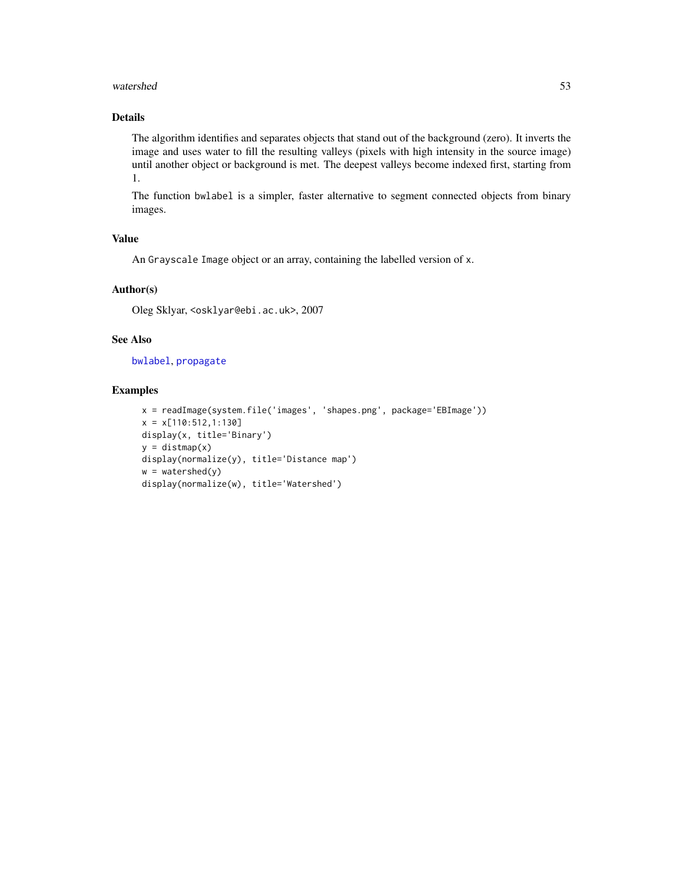#### <span id="page-52-0"></span>watershed 53

# Details

The algorithm identifies and separates objects that stand out of the background (zero). It inverts the image and uses water to fill the resulting valleys (pixels with high intensity in the source image) until another object or background is met. The deepest valleys become indexed first, starting from 1.

The function bwlabel is a simpler, faster alternative to segment connected objects from binary images.

# Value

An Grayscale Image object or an array, containing the labelled version of x.

# Author(s)

Oleg Sklyar, <osklyar@ebi.ac.uk>, 2007

# See Also

[bwlabel](#page-3-1), [propagate](#page-41-1)

```
x = readImage(system.file('images', 'shapes.png', package='EBImage'))
x = x[110:512, 1:130]display(x, title='Binary')
y = \text{distmap}(x)display(normalize(y), title='Distance map')
w = watershed(y)display(normalize(w), title='Watershed')
```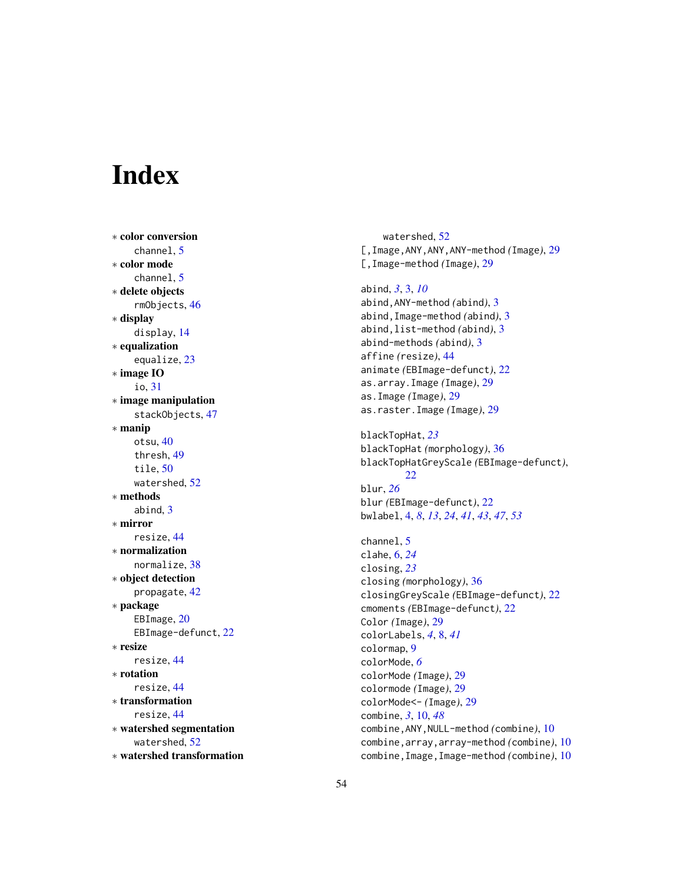# <span id="page-53-0"></span>Index

∗ color conversion channel , [5](#page-4-0) ∗ color mode channel , [5](#page-4-0) ∗ delete objects rmObjects , [46](#page-45-0) ∗ display display , [14](#page-13-0) ∗ equalization equalize , [23](#page-22-0) ∗ image IO io , [31](#page-30-0) ∗ image manipulation stackObjects , [47](#page-46-0) ∗ manip otsu , [40](#page-39-0) thresh , [49](#page-48-0) tile , [50](#page-49-0) watershed , [52](#page-51-0) ∗ methods abind, [3](#page-2-0) ∗ mirror resize , [44](#page-43-0) ∗ normalization normalize , [38](#page-37-0) ∗ object detection propagate , [42](#page-41-0) ∗ package EBImage, [20](#page-19-0) EBImage-defunct, [22](#page-21-0) ∗ resize resize , [44](#page-43-0) ∗ rotation resize , [44](#page-43-0) ∗ transformation resize , [44](#page-43-0) ∗ watershed segmentation watershed , [52](#page-51-0) ∗ watershed transformation

watershed , [52](#page-51-0) [,Image,ANY,ANY,ANY-method *(*Image *)* , [29](#page-28-0) [,Image-method *(*Image *)* , [29](#page-28-0) abind , *[3](#page-2-0)* , [3](#page-2-0) , *[10](#page-9-0)* abind,ANY-method *(*abind *)* , [3](#page-2-0) abind,Image-method *(*abind *)* , [3](#page-2-0) abind,list-method *(*abind *)* , [3](#page-2-0) abind-methods *(*abind *)* , [3](#page-2-0) affine *(*resize *)* , [44](#page-43-0) animate *(*EBImage-defunct *)* , [22](#page-21-0) as.array.Image *(*Image *)* , [29](#page-28-0) as.Image *(*Image *)* , [29](#page-28-0) as.raster.Image *(*Image *)* , [29](#page-28-0) blackTopHat , *[23](#page-22-0)* blackTopHat *(*morphology *)* , [36](#page-35-0) blackTopHatGreyScale *(*EBImage-defunct *)* , [22](#page-21-0) blur , *[26](#page-25-0)* blur *(*EBImage-defunct *)* , [22](#page-21-0) bwlabel , [4](#page-3-0) , *[8](#page-7-0)* , *[13](#page-12-0)* , *[24](#page-23-0)* , *[41](#page-40-0)* , *[43](#page-42-0)* , *[47](#page-46-0)* , *[53](#page-52-0)* channel, [5](#page-4-0) clahe , [6](#page-5-0) , *[24](#page-23-0)* closing , *[23](#page-22-0)* closing *(*morphology *)* , [36](#page-35-0) closingGreyScale *(*EBImage-defunct *)* , [22](#page-21-0) cmoments *(*EBImage-defunct *)* , [22](#page-21-0) Color *(*Image *)* , [29](#page-28-0) colorLabels , *[4](#page-3-0)* , [8](#page-7-0) , *[41](#page-40-0)* colormap , [9](#page-8-0) colorMode , *[6](#page-5-0)* colorMode *(*Image *)* , [29](#page-28-0) colormode *(*Image *)* , [29](#page-28-0) colorMode<- *(*Image *)* , [29](#page-28-0) combine , *[3](#page-2-0)* , [10](#page-9-0) , *[48](#page-47-0)* combine,ANY,NULL-method *(*combine *)* , [10](#page-9-0) combine,array,array-method *(*combine *)* , [10](#page-9-0) combine,Image,Image-method *(*combine *)* , [10](#page-9-0)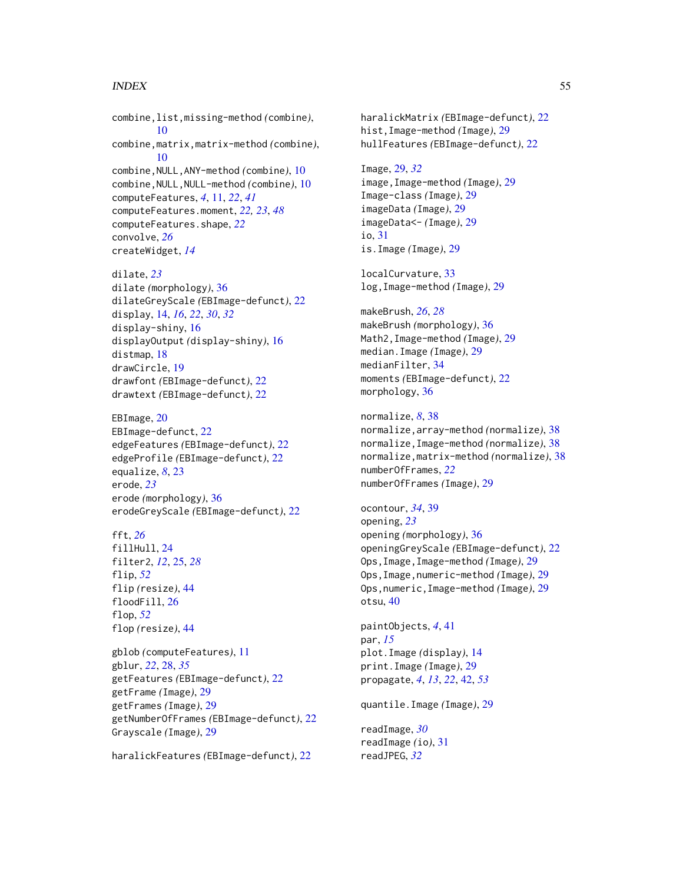#### INDEX 55

combine,list,missing-method *(*combine*)*, [10](#page-9-0) combine,matrix,matrix-method *(*combine*)*, [10](#page-9-0) combine,NULL,ANY-method *(*combine*)*, [10](#page-9-0) combine,NULL,NULL-method *(*combine*)*, [10](#page-9-0) computeFeatures, *[4](#page-3-0)*, [11,](#page-10-0) *[22](#page-21-0)*, *[41](#page-40-0)* computeFeatures.moment, *[22,](#page-21-0) [23](#page-22-0)*, *[48](#page-47-0)* computeFeatures.shape, *[22](#page-21-0)* convolve, *[26](#page-25-0)* createWidget, *[14](#page-13-0)*

dilate, *[23](#page-22-0)* dilate *(*morphology*)*, [36](#page-35-0) dilateGreyScale *(*EBImage-defunct*)*, [22](#page-21-0) display, [14,](#page-13-0) *[16](#page-15-0)*, *[22](#page-21-0)*, *[30](#page-29-0)*, *[32](#page-31-0)* display-shiny, [16](#page-15-0) displayOutput *(*display-shiny*)*, [16](#page-15-0) distmap, [18](#page-17-0) drawCircle, [19](#page-18-0) drawfont *(*EBImage-defunct*)*, [22](#page-21-0) drawtext *(*EBImage-defunct*)*, [22](#page-21-0)

EBImage, [20](#page-19-0) EBImage-defunct, [22](#page-21-0) edgeFeatures *(*EBImage-defunct*)*, [22](#page-21-0) edgeProfile *(*EBImage-defunct*)*, [22](#page-21-0) equalize, *[8](#page-7-0)*, [23](#page-22-0) erode, *[23](#page-22-0)* erode *(*morphology*)*, [36](#page-35-0) erodeGreyScale *(*EBImage-defunct*)*, [22](#page-21-0)

fft, *[26](#page-25-0)* fillHull, [24](#page-23-0) filter2, *[12](#page-11-0)*, [25,](#page-24-0) *[28](#page-27-0)* flip, *[52](#page-51-0)* flip *(*resize*)*, [44](#page-43-0) floodFill, [26](#page-25-0) flop, *[52](#page-51-0)* flop *(*resize*)*, [44](#page-43-0)

gblob *(*computeFeatures*)*, [11](#page-10-0) gblur, *[22](#page-21-0)*, [28,](#page-27-0) *[35](#page-34-0)* getFeatures *(*EBImage-defunct*)*, [22](#page-21-0) getFrame *(*Image*)*, [29](#page-28-0) getFrames *(*Image*)*, [29](#page-28-0) getNumberOfFrames *(*EBImage-defunct*)*, [22](#page-21-0) Grayscale *(*Image*)*, [29](#page-28-0)

haralickFeatures *(*EBImage-defunct*)*, [22](#page-21-0)

haralickMatrix *(*EBImage-defunct*)*, [22](#page-21-0) hist,Image-method *(*Image*)*, [29](#page-28-0) hullFeatures *(*EBImage-defunct*)*, [22](#page-21-0)

Image, [29,](#page-28-0) *[32](#page-31-0)* image,Image-method *(*Image*)*, [29](#page-28-0) Image-class *(*Image*)*, [29](#page-28-0) imageData *(*Image*)*, [29](#page-28-0) imageData<- *(*Image*)*, [29](#page-28-0) io, [31](#page-30-0) is.Image *(*Image*)*, [29](#page-28-0)

localCurvature, [33](#page-32-0) log,Image-method *(*Image*)*, [29](#page-28-0)

makeBrush, *[26](#page-25-0)*, *[28](#page-27-0)* makeBrush *(*morphology*)*, [36](#page-35-0) Math2,Image-method *(*Image*)*, [29](#page-28-0) median.Image *(*Image*)*, [29](#page-28-0) medianFilter, [34](#page-33-0) moments *(*EBImage-defunct*)*, [22](#page-21-0) morphology, [36](#page-35-0)

normalize, *[8](#page-7-0)*, [38](#page-37-0) normalize,array-method *(*normalize*)*, [38](#page-37-0) normalize,Image-method *(*normalize*)*, [38](#page-37-0) normalize,matrix-method *(*normalize*)*, [38](#page-37-0) numberOfFrames, *[22](#page-21-0)* numberOfFrames *(*Image*)*, [29](#page-28-0)

ocontour, *[34](#page-33-0)*, [39](#page-38-0) opening, *[23](#page-22-0)* opening *(*morphology*)*, [36](#page-35-0) openingGreyScale *(*EBImage-defunct*)*, [22](#page-21-0) Ops,Image,Image-method *(*Image*)*, [29](#page-28-0) Ops,Image,numeric-method *(*Image*)*, [29](#page-28-0) Ops,numeric,Image-method *(*Image*)*, [29](#page-28-0) otsu, [40](#page-39-0)

paintObjects, *[4](#page-3-0)*, [41](#page-40-0) par, *[15](#page-14-0)* plot.Image *(*display*)*, [14](#page-13-0) print.Image *(*Image*)*, [29](#page-28-0) propagate, *[4](#page-3-0)*, *[13](#page-12-0)*, *[22](#page-21-0)*, [42,](#page-41-0) *[53](#page-52-0)*

quantile.Image *(*Image*)*, [29](#page-28-0)

readImage, *[30](#page-29-0)* readImage *(*io*)*, [31](#page-30-0) readJPEG, *[32](#page-31-0)*